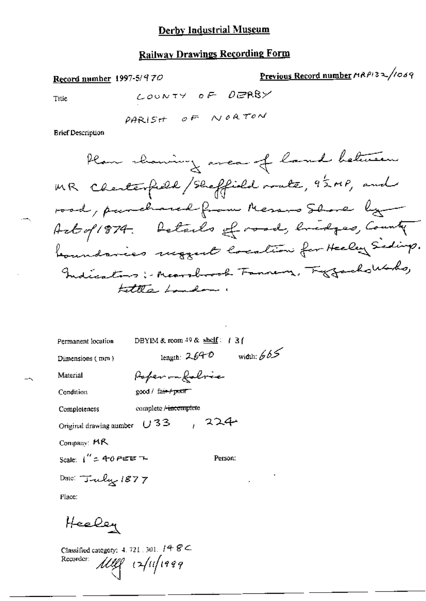Record number 1997-5/970

Previous Record number MRPI32/1069

Title

 $\overline{a}$ 

 $\ddot{\phantom{1}}$ 

LOUNTY OF DERBY

**Brief Description** 

| Permanent location                        | DBYIM & room $49$ & shelf: $1$ 3 f |
|-------------------------------------------|------------------------------------|
| Dimensions (mm)                           | width: $665$<br>length: $2.64-0$   |
| Material                                  | Poper on foloric                   |
| Condition                                 | $good /$ fair $f$ proof            |
| Completeness                              | complete Aincomplete               |
| Original drawing number $U$ 3 $\mathbb 3$ | , 224                              |
| Company: MR                               |                                    |
| Scale: $1'' = 40$ Fetern-                 | Person:                            |
| Date: Tuly 1877                           | ٠                                  |

Place:

Heeley

Classified category: 4, 721, 301,  $148 \text{ C}$ Meg Aufrag Recorder: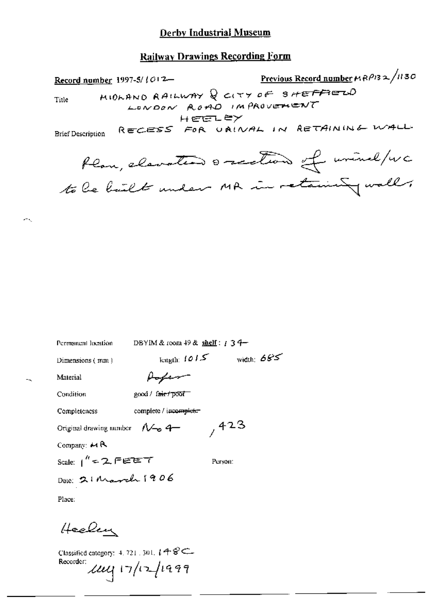# **Railway Drawings Recording Form**

Previous Record number  $MRP/3 \approx \sqrt{1130}$ Record number 1997-5/1012-MIDLAND RAILWAY Q CITY OF SHEFFIELD Title LONDON ROAD IMPROVEMENT HEELEY RECESS FOR URINAL IN RETAINING WALL **Brief Description** Plan, elevation orection of wind/wc to be bailt under MR in retaining wall,

| Permanent location                               | DBYIM & room $49$ & shelf: $134-$ |              |
|--------------------------------------------------|-----------------------------------|--------------|
| Dimensions (mm)                                  | length: $1015$                    | width: $685$ |
| Material                                         | Hopen                             |              |
| Condition                                        | good / frie / poor                |              |
| Completeness                                     | complete / incomplete             |              |
| Original drawing aumber $\Lambda \rightarrow 4-$ |                                   | 1423         |
| Company: $\mathsf{M} \mathsf{R}$                 |                                   |              |
| Scale: $1'' = 2.55557$                           |                                   | Person:      |
| Date: 21 March 1906                              |                                   |              |
| Place:                                           |                                   |              |
| Heelen                                           |                                   |              |

Classified category:  $4, 721, 301, 148$ Recorder:  $\mu$ uy 17/12/1999

жų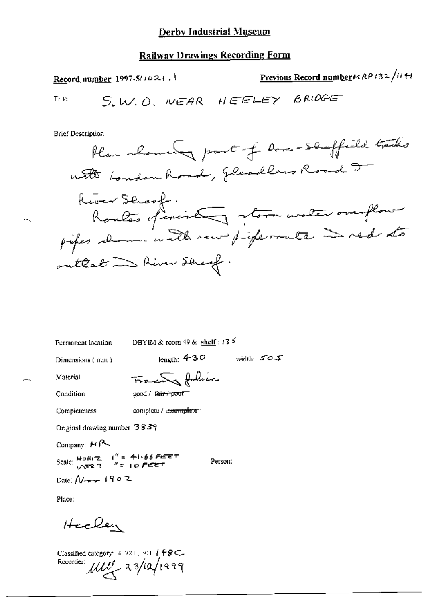# **Railway Drawings Recording Form**

Previous Record number  $P(32/11H)$ Record number 1997-5/1021.1 S.W.O. NEAR HEELEY BRIDGE Title

**Brief Description** 

Permanent location

DBYIM & room 49 & shelf:  $13\frac{5}{7}$ 

Dimensions (mm)

 $_{\rm length:}$  430 width:  $50.5$ 

Person:

Material

Tracty folice good / fa<del>ir / poor -</del>

Condition

complete / incomplete Completeness

Original drawing number 3839

Company: F(R

Scale:  $\frac{\text{Hokr2}}{\text{VFRT}}$   $\int_{0}^{\pi}$  = 41.66 FIEET

Date:  $N_{\text{max}}$  1902

Place:

Heelen

Classified category: 4, 721, 301. [ 48C. Recorder: My 23/10/1999

 $\ddotsc$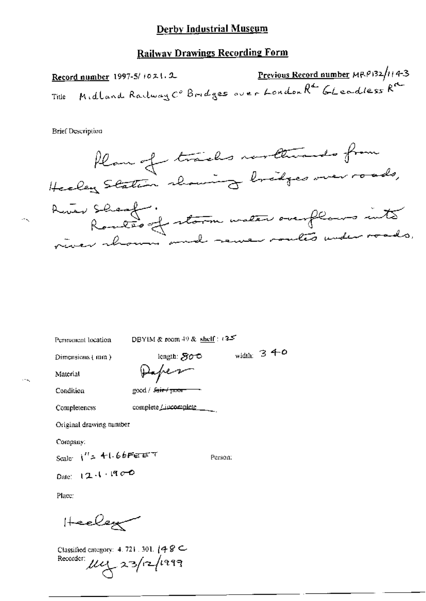Previous Record number MRP132/114-3 Record number 1997-5/1021.2 Midland Railway Co Bridges over London Rd Gleadless Rd Title

**Brief Description** 



Permanent location

DBYIM & room  $49$  & shelf :  $(35)$ 

Dimensions (mm)

length:  $500$ Deper

 $\text{good}$  /  $\text{fair}$   $\text{fmm}$ 

width:  $340$ 

Condition

Completencss

Material

complete / incomplete \_\_\_

Original drawing number

Company:

Scale:  $1'' = 41.66$ Ferent

Person:

Date:  $12.1.1900$ 

Place:

Heelex

Classified category: 4, 721, 301,  $(48 \subset$ Recorder:  $\mu_{4}$  23/12/1999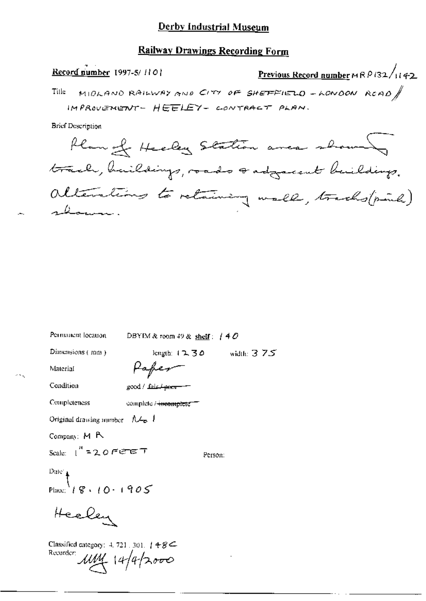### **Railway Drawings Recording Form**

Previous Record number  $M \wedge B$  (32/142 Record number 1997-5/1101 MIDLAND RAILWAY AND CITY OF SHEFFIELD - LONDON RCAD Title IMPROVEMENT- HEELEY- CONTRACT PLAN. **Brief Description** 

Plan of Heeley Station anca showing track, haildings, roads sadgecent buildings. alterations to retaining wall, tracks(pink) shown .

| Penmanent location                                                                                                                                                                                                                                                                                                                                                                                                            | DBYIM & room 49 & shelf: $/40$   |               |
|-------------------------------------------------------------------------------------------------------------------------------------------------------------------------------------------------------------------------------------------------------------------------------------------------------------------------------------------------------------------------------------------------------------------------------|----------------------------------|---------------|
| Dimensions (mm)                                                                                                                                                                                                                                                                                                                                                                                                               | length: $12.30$                  | width: $3.75$ |
| Material                                                                                                                                                                                                                                                                                                                                                                                                                      | Pafer                            |               |
| Condition                                                                                                                                                                                                                                                                                                                                                                                                                     | good / Lais <del>/ porn</del>    |               |
| Completeness                                                                                                                                                                                                                                                                                                                                                                                                                  | complete / <del>incomplete</del> |               |
| Original drawing number $A \rightarrow I$                                                                                                                                                                                                                                                                                                                                                                                     |                                  |               |
| Company: M R                                                                                                                                                                                                                                                                                                                                                                                                                  |                                  |               |
| Scale: $1''$ = 2.0 FeT $\tau$                                                                                                                                                                                                                                                                                                                                                                                                 | Person:                          |               |
|                                                                                                                                                                                                                                                                                                                                                                                                                               |                                  |               |
| Date $\left\{\n\begin{array}{c}\n\sqrt{2} & \text{if } 2 & \text{if } 2 & \text{if } 2 & \text{if } 2 & \text{if } 2 & \text{if } 2 & \text{if } 2 & \text{if } 2 & \text{if } 2 & \text{if } 2 & \text{if } 2 & \text{if } 2 & \text{if } 2 & \text{if } 2 & \text{if } 2 & \text{if } 2 & \text{if } 2 & \text{if } 2 & \text{if } 2 & \text{if } 2 & \text{if } 2 & \text{if } 2 & \text{if } 2 & \text{if } 2 & \text{if$ |                                  |               |
| Heeley                                                                                                                                                                                                                                                                                                                                                                                                                        |                                  |               |
| Classified category: 4, 721, 301, 148 $\epsilon$<br>Recorder: $\mu$ MM 14/4/2000                                                                                                                                                                                                                                                                                                                                              |                                  |               |
|                                                                                                                                                                                                                                                                                                                                                                                                                               |                                  |               |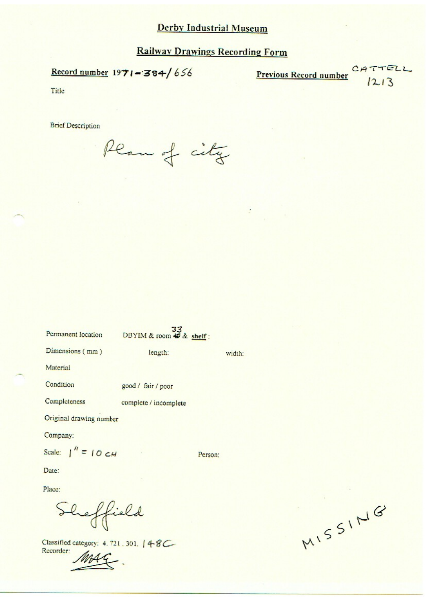$\frac{1}{\sqrt{2}}$ 

Record number  $1971 - 384/656$ 

CATTELL Previous Record number  $1213$ 

Title

**Brief Description** 

Plan of city

 $33$ 

| Permanent location                           | DBYIM & room $\triangle$ & shelf: |         |
|----------------------------------------------|-----------------------------------|---------|
| Dimensions (mm)                              | length:                           | width:  |
| Material                                     |                                   |         |
| Condition                                    | good / fair / poor                |         |
| Completeness                                 | complete / incomplete             |         |
| Original drawing number                      |                                   |         |
| Company:                                     |                                   |         |
| Scale: $\int^{\prime\prime} = 10 \text{ cm}$ |                                   | Person: |
| Date:                                        |                                   |         |

Place:

Sheffield

Classified category: 4.721.301. | 4-8C Recorder:

MISSING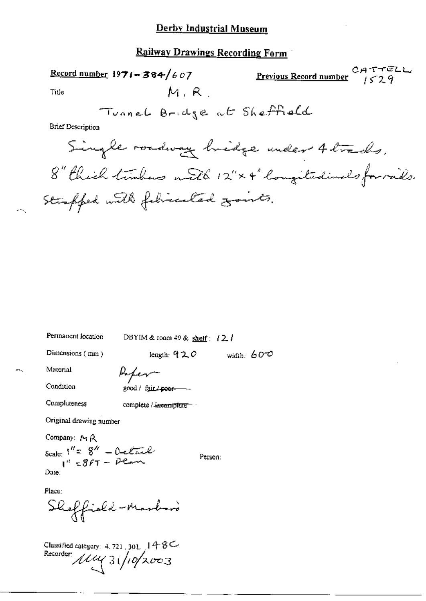### **Railway Drawings Recording Form**

**Previous Record number**  $\begin{array}{cc} C \nmid A \nmid T \nmid C \nmid A \nmid C \nmid A \nmid C \nmid A \nmid C \nmid A \nmid C \nmid A \nmid C \nmid A \nmid C \nmid A \nmid C \nmid A \nmid C \nmid A \nmid C \nmid A \nmid C \nmid A \nmid C \nmid A \nmid C \nmid A \nmid C \nmid A \nmid C \nmid A \nmid C \nmid A \nmid C \nmid A \nmid C \nmid C \nmid A \nmid C \nmid C \nmid A \nmid C \nmid C \nmid C \nmid C \nmid$ Record number  $1971 - 384/607$  $M, R$ Tide Tunnel Bridge at Sheffield **Brief Description** Single roadway bridge under 4 trades. 8" thick tumbers with 12" × 4" longitudinals for rails. Straffed with fibricated zonts.

Permanent location DBYIM & room 49 & shelf :  $12.1$ Dimensions (mm) leagth:  $920$ width:  $600$ Material Lafer Condition good / fair / poor-Completeness complete / incomplete Original drawing number Company: MR Scale:  $1'' = 8'' - 0$ <br> $1'' = 8FT - 0$ <br> $1'' = 8FT - 0$ Person: Date: Place: Sheffishd-Marboro Classified category: 4, 721, 301,  $148C$ Recorder 1114 31/10/2003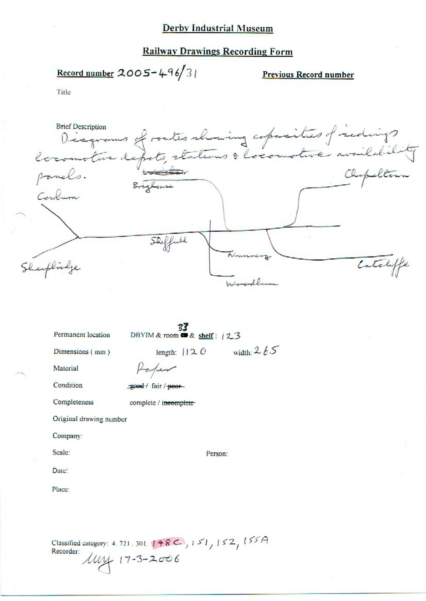#### **Railway Drawings Recording Form**

Record number 2005-496/31

Previous Record number

Title

Brief Description<br>Diagrams of routes showing coparities of redings **Brief Description** Confirm Catcliffe Sheeplinge

Permanent location

DBYIM & room  $\bullet$  & shelf: 123

Dimensions (mm)

Material

Condition

Completeness

good / fair / poor

Paper

complete / ineemplete

Original drawing number

Company:

Scale:

Date:

Place:

Classified category: 4, 721, 301,  $148C$ ,  $151$ ,  $152$ ,  $155A$ Recorder:  $144 + 17 - 3 - 2006$ 

Person:

length:  $|12.0$  width:  $2.65$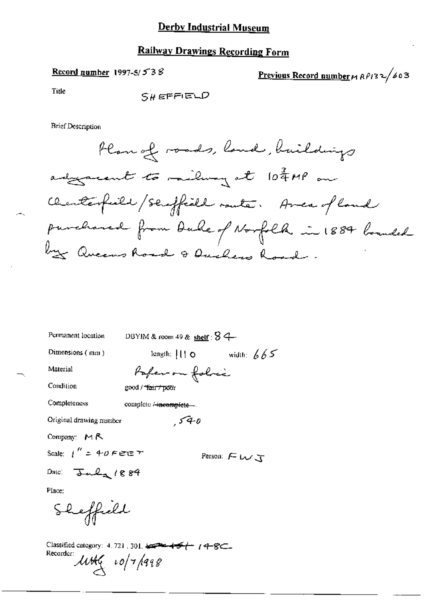# **Railway Drawings Recording Form**

## Record number 1997-5/ $538$

Previous Record number  $M$   $R$   $P$   $132$   $\sqrt{603}$ 

Title

 $S$ *H* EFFIELD

| Permanent location                                                                                                                                                          | DBYIM & room 49 & shelf : $\overline{8}$ 4 |  |
|-----------------------------------------------------------------------------------------------------------------------------------------------------------------------------|--------------------------------------------|--|
| Dimensions (mm)                                                                                                                                                             | length; $   \cdot    \cdot   $ width; $65$ |  |
| Material                                                                                                                                                                    | Paper on folice                            |  |
| Condition                                                                                                                                                                   | good / <del>"lair / poo</del> r            |  |
| Completeness                                                                                                                                                                | complete <del>/ incomplete</del>           |  |
| Original drawing number                                                                                                                                                     | 540                                        |  |
| Company: $M R$                                                                                                                                                              |                                            |  |
| Scale: $\mu'' = 40$ F ene $\tau$                                                                                                                                            | Person: $F \cup J$                         |  |
| Date: $Jud_{\mathbf{r}}$ /884                                                                                                                                               |                                            |  |
| Place:                                                                                                                                                                      |                                            |  |
| Sheffield                                                                                                                                                                   |                                            |  |
| Classified category: 4, 721 , 301, $\frac{1}{2}$ = $\frac{1}{2}$ + $\frac{1}{2}$ + $\frac{1}{2}$ + $\frac{1}{2}$ + $\frac{1}{2}$<br>Recorder:<br>$\mu$ title $\mu$ o/7/1998 |                                            |  |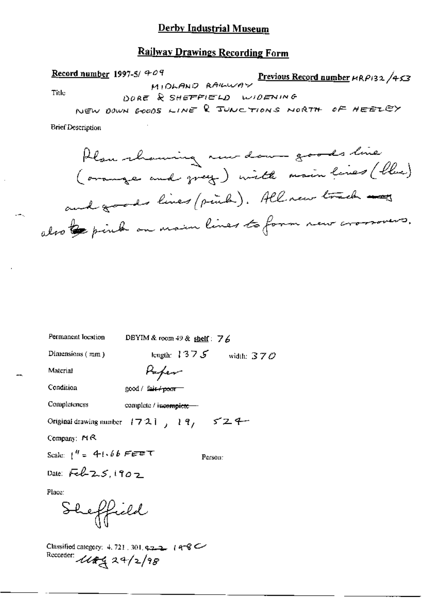### **Railway Drawings Recording Form**

Record number 1997-5/ $909$ Previous Record number  $\mu$ RP132/453 MIDLAND RAILWAY Title DORE & SHEFFIELD WIDENING NEW DOWN GOODS LINE & JUNCTIONS NORTH OF HEELEY

Plan channing new dawn goods line (orange and grey) with main lines (blue) and goods lines (pink). All new track my also be pink on main lines to form new crossovers.

| Permanent location                                                        | DBYIM & room $49$ & shelf: $76$ |         |                             |
|---------------------------------------------------------------------------|---------------------------------|---------|-----------------------------|
| Dimensions $(\pi \mathfrak{m})$                                           |                                 |         | length: $1375$ width: $370$ |
| Material                                                                  | Paper                           |         |                             |
| Condition                                                                 | good / fair <del>/ pour</del>   |         |                             |
| Completeness                                                              | complete / incomplete -         |         |                             |
| Original drawing number $1721$ , $19$ , $524$                             |                                 |         |                             |
| Company: $M \otimes$                                                      |                                 |         |                             |
| Scale: $1^{\prime\prime} = -4 + 66$ Fere $\tau$                           |                                 | Person: |                             |
| Date: $Fek2.5.1902$                                                       |                                 |         |                             |
| Place:                                                                    |                                 |         |                             |
| Sheffield                                                                 |                                 |         |                             |
| Classified category: 4, 721, 301, 4:2-2, 14-8 C<br>Recorder: 1184229/2/98 |                                 |         |                             |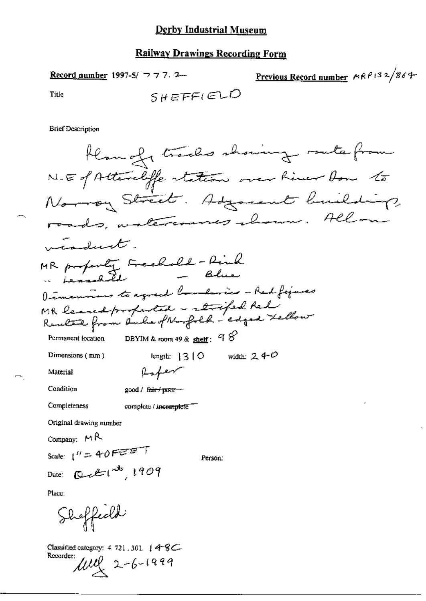Previous Record number MRP132/864 Record number 1997-5/ 777.2.  $SHEFF(EDD$ Title

| Han of tracks showing route from                                                   |
|------------------------------------------------------------------------------------|
| N.E of Attendiffe station over him for to                                          |
| Normany Street. Adjacent building                                                  |
| roads, watercourses channel. Allow                                                 |
| viadunt.                                                                           |
| MR property Freehold - Rink<br>$-$ Blue<br>Leasabeth                               |
| Dimensions to agreed boundaries - Red figures                                      |
| MR leaved profested - strifed Red<br>Reachere from Duche of Norfolk - edged Lellow |
| DBYIM & room 49 & $\frac{\text{sheff}}{2}$ : $98$<br>Permanent location            |
| width: $240$<br>Dimensions $(mn)$<br>length: 310                                   |
| fater<br>Material                                                                  |
| Condition<br>good / f <del>air / pour -</del> -                                    |
| Completeness<br>complete / incomplete                                              |
| Original drawing number                                                            |
| Company: $M R$                                                                     |
| Scale: $1'' = 40$ FEET<br>Person:                                                  |
| $Q + t^{3}$ , 1909<br>Date:                                                        |
| Place:                                                                             |
| Sheffeeld                                                                          |
| Classified category: 4.721, 301. $48C$<br>Recorder:<br>$\mu v_x$ 2-6-1999          |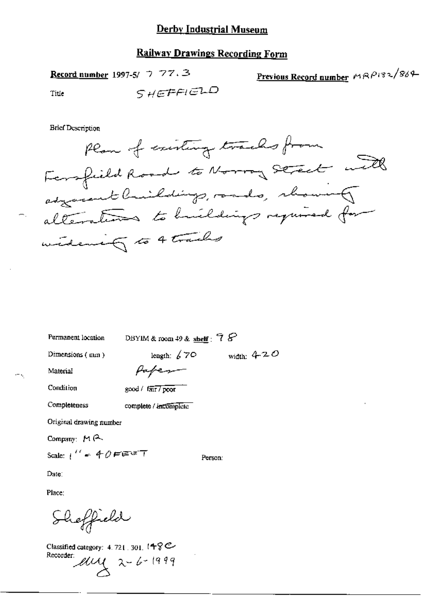Record number 1997-5/  $\bigtriangledown$  77.3

Previous Record number MRP132/869

Title

SHEFFIELD

**Brief Description** 

Permanent location

DBYIM & room  $\downarrow$ 9 & shelf :  $78$ 

Person:

Dimensions (mm)

length:  $670$  width:  $420$ 

Material

 $\leftarrow$  ,

Paper

Condition

Completeness

good / fair / poor

complete / ancomplete

Original drawing number

Company: MR

Scale:  $1^{\prime\prime}$  = 40FEET

Date:

Place:

Sheffield

Classified category: 4.721, 301,  $148^\circ$ Recorder europe 2-6-1999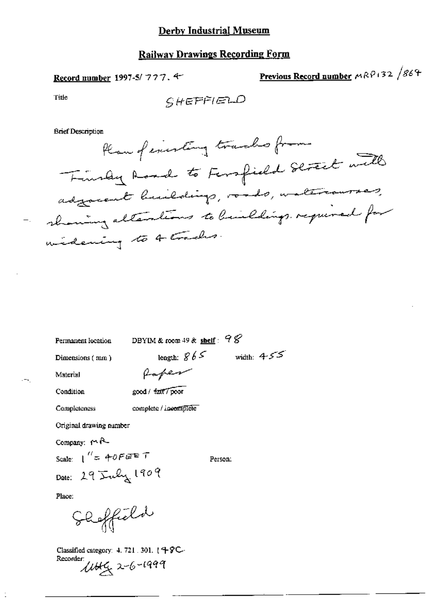Record number 1997-5/777.4

Previous Record number MRP132 /864

Title

**Brief Description** 

Permanent location

DBYIM & room 49 & shelf:  $98$ 

Dimensions (mm)

length:  $865$  width:  $455$ 

 $\Delta$ 

Material Condition

Completeness

 $-$ 

Ċ

complete / incomplete

good / fait / poor

faper

Original drawing number

Company:  $f \wedge f$ 

Scale:  $1'' = 40FEFT$ Date: 29 July 1909

Person:

Place:

Shoffield

Classified category: 4, 721, 301, 149C-Recorder:

1445 2-6-1999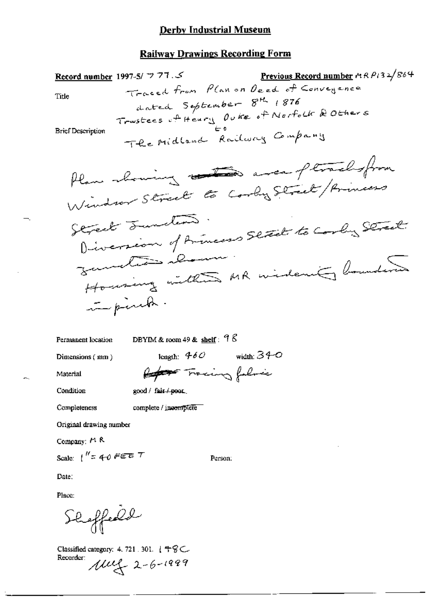Previous Record number  $\triangleleft$   $R$   $P$   $(32/864)$ Record number 1997-5/ フ フ 7 . S Traced from Plan on Deed of Conveyence Title dated September 8th 1876 Trustees of Heury Ouke of Norfolk & Others **Brief Description** The Midland Railway Company Plane showing and area ptrachesfrom Window Street to Cooky Street/Princess Street Tuncture. Diversion of Armeses Street to Cooly Street. Functions about Housing with MR widenity boundering in pinch.

Permanent location

DBYIM & room 49 & shelf:  $9\%$ 

Dimensions (mm)

length:  $460$  width:  $340$ Report Tracing folice

Condition

Material

good / fair / poor.

Completeness

complete / incomplete

Original drawing number

Company: #1 R

Scale:  $1'' = 40$  FEE  $T$ 

Person:

Date:

Place:

Shaffedd

Classified category: 4, 721, 301,  $\{\pm\% \subset$ Recorder:  $10422 - 6 - 1999$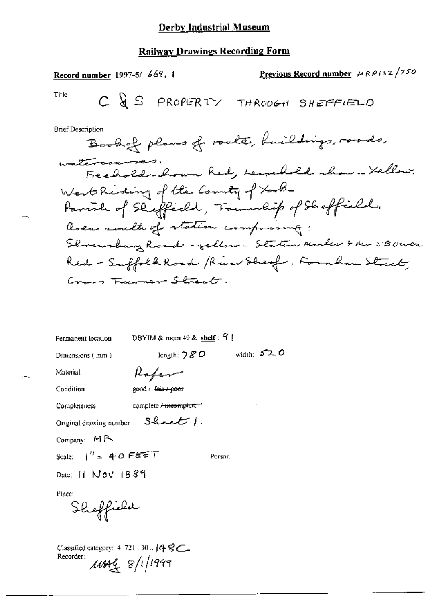| Record number 1997-5/ 669, 1               | Previous Record number $MRP/32/750$                    |
|--------------------------------------------|--------------------------------------------------------|
| Title<br>C & S PROPERTY                    | THRODGH SHEFFIELD                                      |
| Brief Description                          |                                                        |
|                                            | Book of plans of roate, buildings, roads,              |
| watercourses,                              | Freehold shown Red, Lessell shown Yellow.              |
| West Reding of the Country of York         |                                                        |
| Favorh of Skeffedd, Township of Skeffield. |                                                        |
| area south of station comprasing:          |                                                        |
|                                            | Shreusburg Rosal - yellow - Station Martes & Mr JBOWER |
|                                            | Red - Suffolk Road /River Sheaf , Formhan Street,      |
| Cross Furner Street.                       |                                                        |
|                                            |                                                        |
|                                            |                                                        |

DBYIM & room 49 & shelf:  $9$ ! Permanent location

Dimensions (mm)

length;  $780$  width:  $520$ 

Material Condition

good / fair / poor

Rafer

Completeness

complete / incomplete"

 $S$ heat  $\Gamma$ . Original drawing number

Company:  $MR$ 

Scale:  $1^{H} = 40$  FEET

Person:

Date: 11 Nov 1889

Place:

Sheffield

Classified category: 4, 721, 301, [4 8C. Recorder:  $\mu$ mag 8/1/1999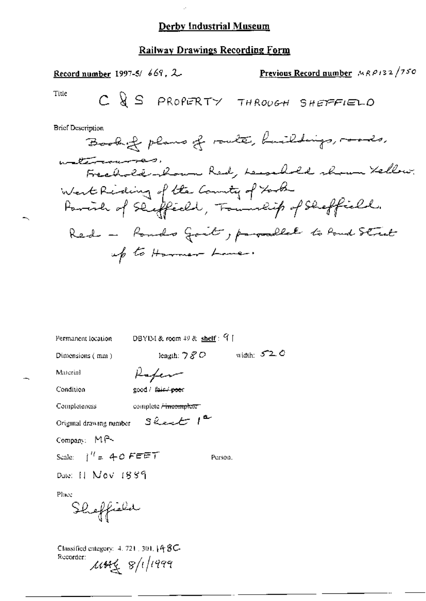### **Railway Drawings Recording Form**

Previous Record number MRP132/750 Record number 1997-5/669, 2 Title C & S PROPERTY THROUGH SHEFFIELD **Brief Description** Book of plans of route, buildings, roads, watercourse Freehold komme Red, Lesselved shown Kellow. West Riding of the Country of York Particle of Sliffedd, Township of Sheffield. Red - Ronds Goit, parallel to Rond Street up to Harmer Lane.

Permanent location

DBYIM & room 49 & shelf: 91

Dimensions (mm)

length:  $780$  width:  $520$ 

Material Condition

Rafer good / fair / poor

 $3k$ et  $1^{\alpha}$ 

Completeness complete <del>/ incomplete</del>

Original drawing number

Compan: MA

Scale:  $j'' = 40$  FEET

Person.

Date: 11 Nov 1889

Place

Sheffield

Classified category:  $4.721$ ,  $301.148$ C-Recorder:  $1444 \times 8/1/1999$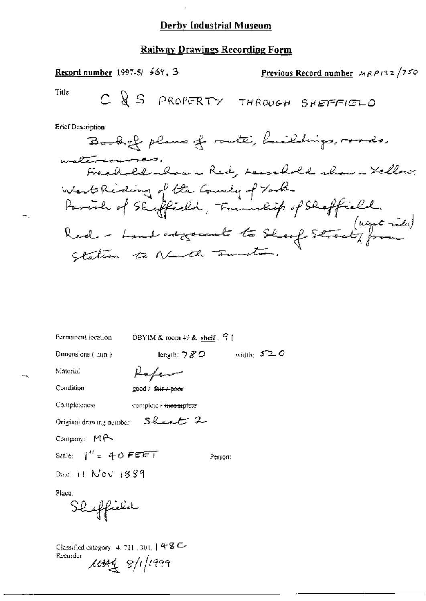#### **Railway Drawings Recording Form**

Previous Record number  $MRP/32/750$ **Record number** 1997-5/  $66$ , 3 Title  $C \bigotimes S$  PROPERTY THROOGH SHEFFIELD **Brief Description** Book of plans of route, buildings, roads, watercourses. Freshold kom Red, Leasehold shown Yellow. West Riding of the Country of York Particle of Sheffield, Transmittif of Sheffield. Red - Land adgreent to Sheaf Street, from contion to Newth sunstan.

Permanent location

DBYIM & room 49 & shelf. 9

Dimensions (mm)

length:  $780$  width:  $520$ 

Material

Condition

Rafen good / fair / poor

Sheet 2

Completeness complete / incomplete

Original drawing number

Company: MP

Scale:  $i'' = 40$  FEET

Person:

Date:  $11$  Nev  $1889$ 

Place.

Shoffield

Classified category, 4, 721, 301,  $[48 \text{ C}$ Recurder:  $14448/11999$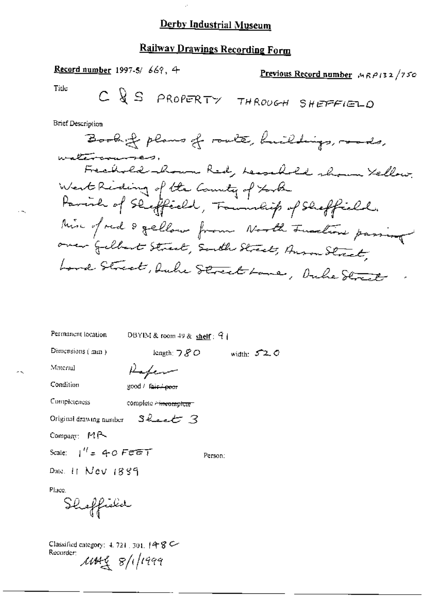# **Railway Drawings Recording Form**

Record number 1997-5/669, 4 Previous Record number  $M_R \rho / 32 / 750$ Tide  $C \bigvee S$  PROPERTY THROUGH SHEFFIELD

**Brief Description** 

Book of plans of route, huildings, roads, watercourses.<br>Frechold-hown Red, hearthold shown Yellow. West Riding of the Country of York Parish of Skeffeeld, Township of Skeffield. Mix of red & gellow from North Function passing over Gelbert Street, South Street, Anson Street, Lond Street, Duke Street Lane, Duke Street

| Permanent location       | DBYIM & room 49 & $shelf$ : 9                            |              |  |
|--------------------------|----------------------------------------------------------|--------------|--|
| Dimensions $($ mm $)$    | length: $780$                                            | width: $520$ |  |
| Material                 | Kafem                                                    |              |  |
| Condition                | good / f <del>air / poor</del>                           |              |  |
| Completeness             | complete <del>c incomplete</del> :                       |              |  |
|                          | Original drawing number $\mathcal{S}$ have $\mathcal{S}$ |              |  |
| Company: $M \rightarrow$ |                                                          |              |  |
| Scale: $1'' = 40$ Feet   |                                                          | Person:      |  |
| Date. 11 Nev 1889        |                                                          |              |  |
| Phre.<br>Sheffield       |                                                          |              |  |

Classified category: 4, 721, 301, 14 8 C Recurder:  $100498$  8/1/1999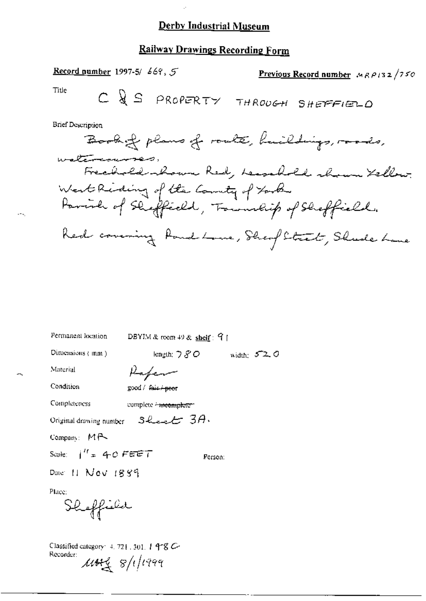### **Railway Drawings Recording Form**

Record number 1997-5/ 669, 5 Previous Record number  $MRP132/750$ Title  $C \bigvee S$  PROPERTY THROUGH SHEFFIELD **Brief Description** Book of plans of route, huildings, roads, watercourses, Freehold shown Red, Lessebold shown Kellow. West Riding of the Country of York Parish of Shepfield, Township of Sheffield. Red covering Rond Lone, Sheef Street, Shede Lane

| Permanent location.                                                                       | DBYIM & room $49$ & shelf: $9$ [                                          |              |
|-------------------------------------------------------------------------------------------|---------------------------------------------------------------------------|--------------|
| Dimensions $\langle$ mm $\rangle$                                                         | length: フ $\mathscr{S}\mathcal{O}$                                        | width: $520$ |
| Material                                                                                  | Kafem                                                                     |              |
| Condition                                                                                 | good / fair <del>/peo</del> r                                             |              |
| Completeness                                                                              | complete <del>- meomplete -</del>                                         |              |
|                                                                                           | Original drawing number $\mathcal{S}$ Level <sup>+</sup> $\mathcal{S}A$ . |              |
| Company: $M \rightarrow$                                                                  |                                                                           |              |
| Scale: $i'' = 40$ FEET                                                                    |                                                                           | Person:      |
| Date: 11 Nov 1889                                                                         |                                                                           |              |
| Place:<br>Shoffield                                                                       |                                                                           |              |
| Classified category: $4.72$ [ $.301$ ] $4\textdegree$ C<br>Recorder:<br>$\mu$ wg s/i/i999 |                                                                           |              |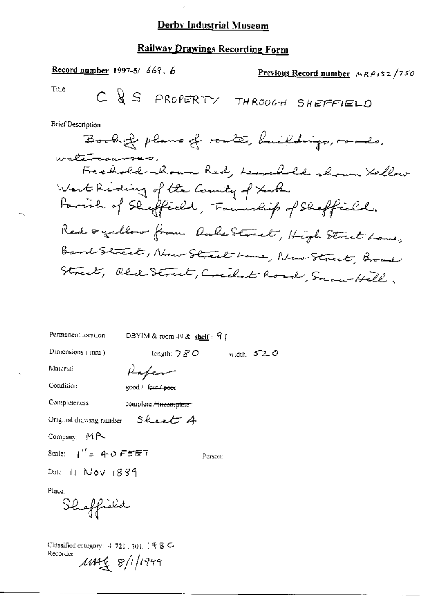### Railway Drawings Recording Form

Record number 1997-5/669, 6 Previous Record number  $MRP/32/750$ Title  $C \bigvee S$  PROPERTY THROUGH SHEFFIELD

**Brief Description** 

Book of plans of route, buildings, roads, waltrammes, Freehold shown Red, Lessell shown Yellow. West Riding of the Country of York Favoral of Sheffield, Township of Sheffield. Red ogellow from OukeStreet, High Street Lane, Band Street, New Street have, New Street, Broad Street, Old Street, Credit Road, Snow Hill,

Permanent location DBYIM & room 49 & shelf:  $91$ Dimensions (mm) length:  $780$ width:  $520$ Material Rafer Condition good / fair / poer Completeness complete <del>/ incomplete</del> : Sheet A Original drawing number  $Comparing M<sub>R</sub>$ Scale:  $1'' = 40$  FEET Person: Date 11  $Nov$   $1889$ Place. Shoffield

Classified entegory:  $4.721$ ,  $301$ ,  $148$  C Recorder:  $1444 \times 8/1/1999$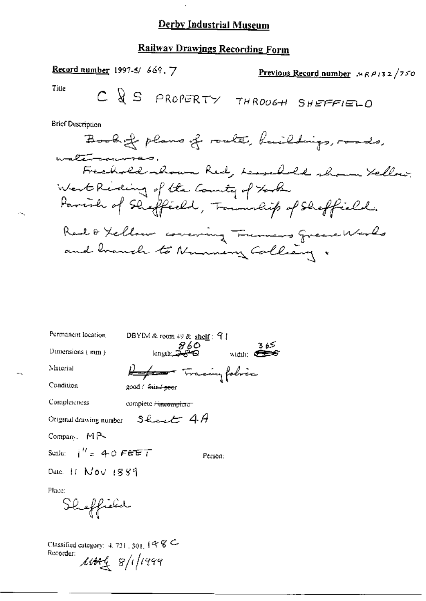$\mathbf{r}$ 

# Railway Drawings Recording Form

Record number 1997-5/669, 7 Previous Record number  $MRP132/750$ Title C & S PROPERTY THROOGH SHEFFIELD

**Brief Description** 

| Permanent location       | DBYIM & room 49 & shelf: 91                                         |
|--------------------------|---------------------------------------------------------------------|
| Dimensions $\{mm\}$      | <i>860</i><br>Genyth<br>ک€ ق<br>width: $\epsilon$                   |
| Material                 | <del>Keepers</del> Tracingfobric                                    |
| Condition                | good / fair / peor                                                  |
| Completeness             | complete <del>/ incomplete</del> -                                  |
|                          | Original drawing number $\quad$ Shows $\epsilon$ $\pm$ $4$ $\theta$ |
| Company, $M \rightarrow$ |                                                                     |
| Scale: $i'' = 40$ FEET   | Person:                                                             |
| Date. $H$ $Nov$ $1889$   |                                                                     |
| Dhuasa a                 |                                                                     |

Place:

Sheffield

Classified category: 4, 721, 301,  $(4 \, 8 \, \text{C})$ Recorder:  $\mu$ 

÷ч,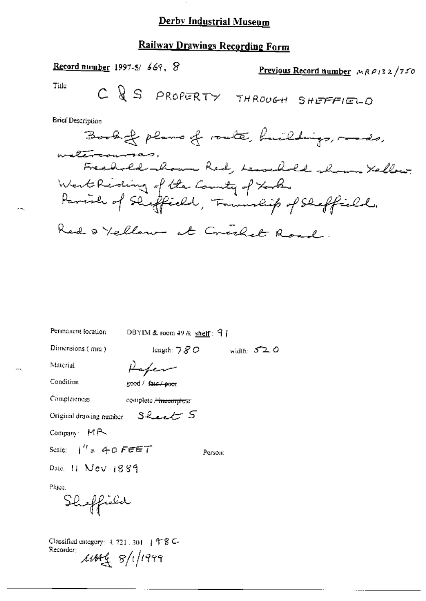# Railway Drawings Recording Form

Record number 1997-5/669, 8 Previous Record number MRP132/750 Title  $C \bigotimes S$  PROPERTY THROUGH SHEFFIELD **Brief Description** Book of plans of route, huildings, roads, watercourses. Freehold kom Red, Lessehold shown Yellow. West Riding of the County of took Parish of Shiffeeld, Famuship of Sheffield. Red & Yellow at Creeket Road.

Permanent location DBYIM & room 49 & shelf:  $91$ 

Dimensions (mm)

length:  $780$ width:  $520$ 

Material

Rafer

Condition

good / faut / poor

Sheet 5

Completeness complete <del>/ incomplete</del>

Original drawing number

Company MR

Scale:  $1'' = 40$  FEET

Person:

Date:  $11$  Nev  $1889$ 

Place.

Shoffield

Classified category:  $4, 721, 301$  |  $48$  C-Recorder:  $1444 \times 8/1/1999$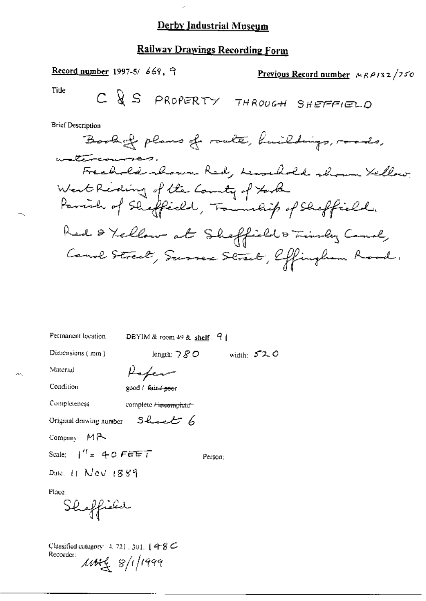### Railway Drawings Recording Form

Record number 1997-5/669, 9 Previous Record number  $MRT/150$ Title  $C \bigotimes S$  PROPERTY THROUGH SHEFFIELD **Brief Description** Book of plans of route, huildings, roads, watercourses. Freehold shown Red, Leasehold shown Yellow. West Riding of the County of York Parish of Sheffield, Township of Sheffield. Red & Yellow at Sheffield & Timber Canal, Canal Street, Surrex Street, Effingham Road.

| Permanent lecation                                                                                               | DBYIM & room $49$ & shelf $9$      |                |
|------------------------------------------------------------------------------------------------------------------|------------------------------------|----------------|
| Dimensions (mm)                                                                                                  | length: $780$                      | width: $572.0$ |
| Material                                                                                                         | Kaper                              |                |
| Condition                                                                                                        | good / fair <del>/ poor</del>      |                |
| Completeness                                                                                                     | complete <del>/ incomplete -</del> |                |
| Original drawing number $\Box$ Level $\epsilon$                                                                  |                                    |                |
| Company $M \rightarrow$                                                                                          |                                    |                |
| Scale: $1'' = 40$ FEET                                                                                           | Person:                            |                |
| Date: $\pm$ Nev $+889$                                                                                           |                                    |                |
| Place.<br>Sheffield                                                                                              |                                    |                |
| Classified category: 4, 721, 301, $148C$<br>Recorder:<br>$\frac{1}{4}$ $\frac{1}{4}$ $\frac{1}{4}$ $\frac{1}{4}$ |                                    |                |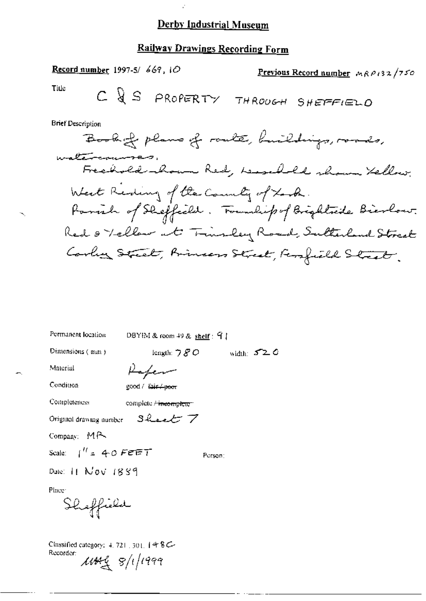$\mathcal{L}$ 

# Railway Drawings Recording Form

Record number 1997-5/669, 10 Previous Record number MRP132/750 Title C & S PROPERTY THROUGH SHEFFIELD **Brief Description** À.

| Permanent location                          | DBYIM & room 49 & shelf: $91$                            |              |
|---------------------------------------------|----------------------------------------------------------|--------------|
| Dimensions (mm)                             | length: $780$                                            | width: $520$ |
| Material                                    | Kafem                                                    |              |
| Condition                                   | good / fair / poor                                       |              |
| Completeness                                | complete <del>/ incomplete</del> :                       |              |
|                                             | Original drawing number $\Box$ Lee $\tau$ $\overline{Z}$ |              |
| Company: MA                                 |                                                          |              |
| Scale: $\int_{0}^{H}$ = 40 FEET             |                                                          | Person:      |
| Date: $11$ $Nov$ $1839$                     |                                                          |              |
| Place:                                      |                                                          |              |
| Shaffield                                   |                                                          |              |
|                                             |                                                          |              |
| Classified category: $4.721 \pm 301.148$ C- |                                                          |              |
| Recorder:<br>$\mu$ ung s/i/1999             |                                                          |              |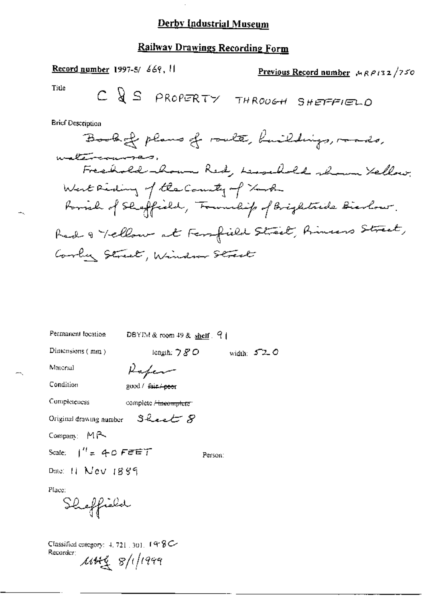$\cdot$ 

# Railway Drawings Recording Form

| <b>Record number 1997-5/ 669, 11</b> |  |  | Previous Record number $MRT/750$             |
|--------------------------------------|--|--|----------------------------------------------|
| Title                                |  |  | $C \bigotimes S$ PROPERTY THROUGH SHEPFFIELD |

**Brief Description** 

∸.

÷.

| Permanent location                      | DBYIM&room 49& shelf 9             |               |
|-----------------------------------------|------------------------------------|---------------|
| Dimensions $(mn)$                       | length: $780$                      | width: $57-0$ |
| Material                                | Kafer                              |               |
| Condition                               | good / fair + peer                 |               |
| Completeness                            | complete <del>/ incomplete</del> : |               |
| Original drawing number $S$ heart $S$   |                                    |               |
| Company: MR                             |                                    |               |
| Scale: $1'' = 40$ FEET                  | Person:                            |               |
| Date: $H$ $N$ ev $1889$                 |                                    |               |
| Place:                                  |                                    |               |
| Sheffield                               |                                    |               |
| Classified entegory: $4, 721, 301, 198$ |                                    |               |

Recorder:  $\mu$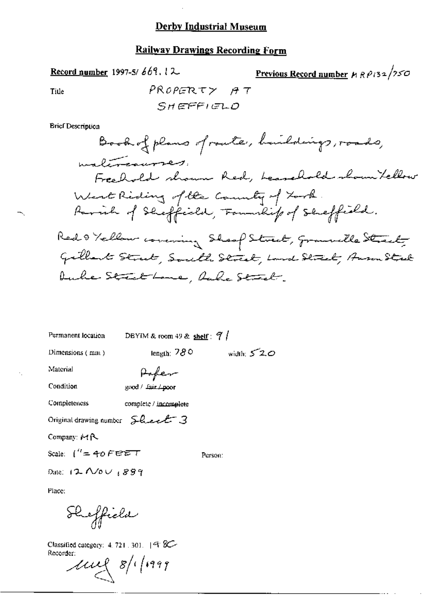## **Railway Drawings Recording Form**

$$
\underline{\text{Record number}} 1997-5/669.12.
$$

Previous Record number 
$$
\mu R P_{132}/250
$$

Title

$$
\begin{array}{cc}\n\text{PROPERTIES} & \text{AT} \\
\text{SHEFFIGLO}\n\end{array}
$$

**Brief Description** 

| Permanent location                | DBYIM & room 49 & shelf: $7/$  |              |
|-----------------------------------|--------------------------------|--------------|
| Dimensions (mm)                   | length: $780$                  | width: $520$ |
| Material                          | <b>Pofer</b><br>good/fair/poor |              |
| Condition                         |                                |              |
| Completeness                      | complete / incomplete          |              |
| Original drawing number Sheet 3   |                                |              |
| Company: MR                       |                                |              |
| Scale: $\int^R = 40$ F E E T      |                                | Person:      |
| Date: $12$ $\sim$ $\omega$ $1899$ |                                |              |
|                                   |                                |              |

Place:

÷.

Sheffield

Classified category: 4, 721, 301, 48 Recorder:

 $10028/1999$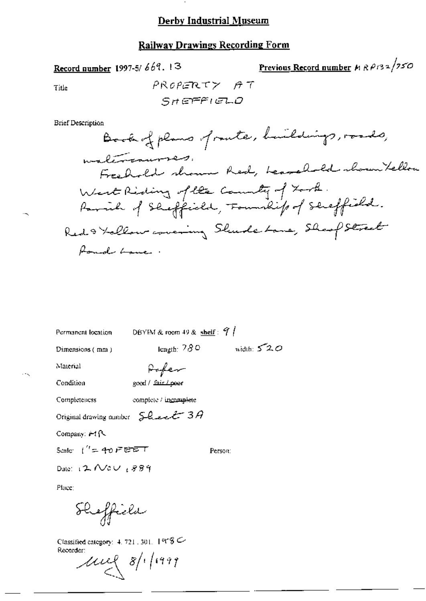### **Railway Drawings Recording Form**

Record number 1997-5/669.13

<u>Previous Record number</u>  $M \, R \, \rho_1$ 32/750

Title

$$
\begin{array}{cc}\n\text{PROPERTIES} & \text{AT} \\
\text{SHEFFIGLO}\n\end{array}
$$

**Brief Description** 

Permanent location

DBYIM & room 49 & shelf:  $9$  | length:  $780$  width:  $520$ 

Person:

Dimensions (mm)

Pofer

Condition

Material

 $\ddotsc$ 

good / fair Loeer

Completeness complete / incomplete

Original drawing number  $SL$  ext  $3A$ 

Company: i-t {\

Scale:  $1' = 40$  FEET

Date:  $2$  Nov 1889

Place:

Sheffield

Classified category:  $4.721,301,1998$ Recorder:

 $\mu$  8/1/1999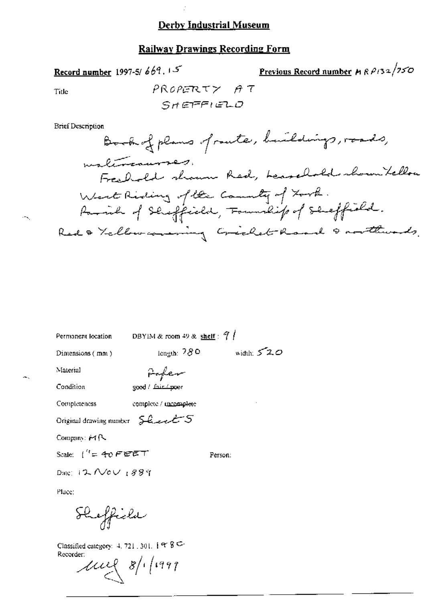### **Railway Drawings Recording Form**

Record number 1997-5/669.15

<u>Previous Record number</u>  $A \wedge \frac{\beta_1}{3} \times \frac{1}{\sqrt{5}}$ 

Title

**Brief Description** 

| ermanent lacation. | DEVIS A |
|--------------------|---------|

Permanent location DBYIM & room 49 & shelf :  $\frac{9}{4}$ 

length:  $780$  width:  $520$ 

Dimensions (mm)

Paper

Condition

Material

good / fair / poor

Completeness

complete / mcomplete

Original drawing number 5 heart 5

Company: MR

Scale:  $\int_0^R = 40$  FEET

Person:

Date: 12 Nev 1889

Place:

Sheffield

Classified category:  $4, 721, 301, 199$ Recorder:

 $\mu$  8/1/1997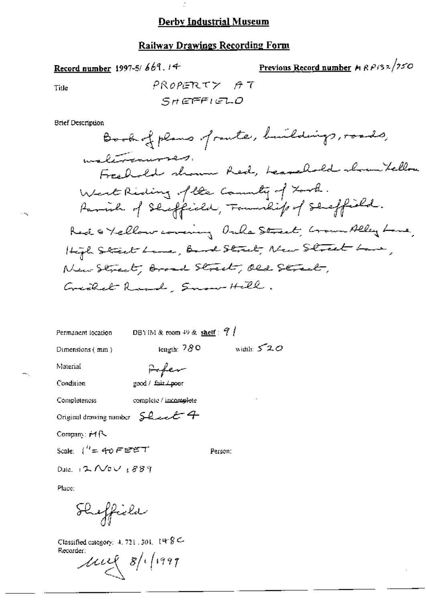$\mathcal{I}$ 

Record number 1997-5/669.14

Title

 $\cdot$   $\sim$ 

 $\sim$ 

### **Railway Drawings Recording Form**

 $PROPERTZ \tAT$ 

Previous Record number  $MRP/32/250$ 

| SHEFFIELD                                                                          |
|------------------------------------------------------------------------------------|
| Brief Description<br>Book of plans of raute, buildings, roads,                     |
| malerennment.<br>Freehold shown Red, Leavelold shown tellow                        |
| West Reding of the Country of Look.<br>Parade of Sheffield, Familiep of Shaffield. |
| Red & Yellow covering Ouke Street, Grown Alley Lone,                               |
| High Street Lame, Band Street, New Street Lawe,                                    |
| New Street, Broad Street, Old Street,                                              |
| Greckel Road, Snow Hell.                                                           |
|                                                                                    |
| DBYIM & room $49$ & shelf: $7/$<br>Permanent location                              |
| width: $520$<br>iength: $780$<br>Dimensions $(mn)$                                 |
| Material<br>Fefer                                                                  |
| Condition<br>good / fair / poor                                                    |
| complete / incomplete<br>Completeness                                              |
| Original drawing number $SL$ and $4$                                               |
| Company: #1 [ \                                                                    |
| Scale: ("= 4ಾ೦೯೮೯೯<br>Person:                                                      |
| Date: $12$ Nov $1889$                                                              |

Place:

Sheffiche

Classified category:  $4, 721, 301, 199$  C Recorder:

 $\mu$   $\approx$  8/1/1997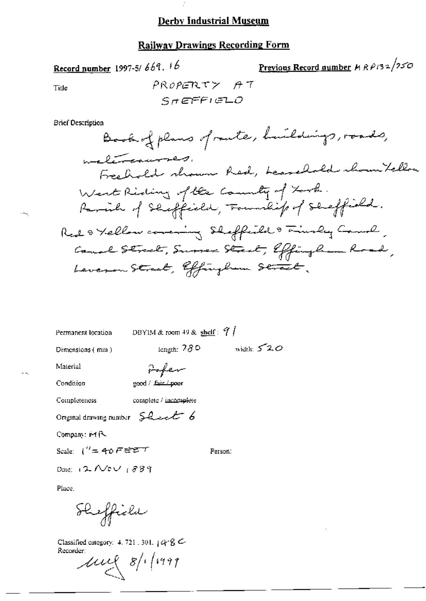Í,

### **Railway Drawings Recording Form**

PROPERTY AT

Previous Record number  $H R P 132/250$ 

Permanent location

DBYIM & room 49 & shelf:  $9/$ 

length:  $780$  width:  $520$ 

Person:

Dimensions (mm)

Fofer

Condition

Material

good / fair / poor

complete / incomplete Completeness

Original drawing number Sheet 6

Record number 1997-5/669.16

Title

 $\mathcal{L} = \mathcal{L}$ 

Company: F4 R-

Scale:  $\int_0^T = 40$  FEET

Date: 12 Nov 1889

Place.

Sheffield

Classified category: 4, 721, 301,  $448$ Recorder:

 $\mu$   $\approx$  8/1/1999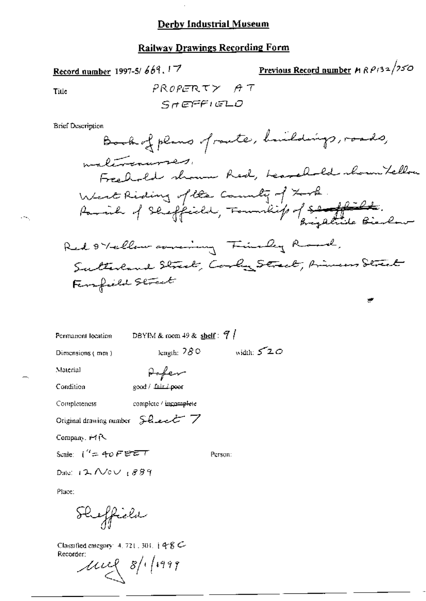## **Railway Drawings Recording Form**

Record number 1997-5/669.17

$$
\frac{\text{Previous Record number}}{\text{M R P}}/32/250
$$

پر

Title

 $\sim 75\%$ 

**Brief Description** 

| Permanent location                                                                                                                                                                                                                                                                                                                                                                                                                                                                                                                                                                                                                                                                                                                                                                                                                                                                                                                                                                                                                                                                                               | DBYIM & room 49 & shelf: 9 |            |
|------------------------------------------------------------------------------------------------------------------------------------------------------------------------------------------------------------------------------------------------------------------------------------------------------------------------------------------------------------------------------------------------------------------------------------------------------------------------------------------------------------------------------------------------------------------------------------------------------------------------------------------------------------------------------------------------------------------------------------------------------------------------------------------------------------------------------------------------------------------------------------------------------------------------------------------------------------------------------------------------------------------------------------------------------------------------------------------------------------------|----------------------------|------------|
| Dimensions (mm)                                                                                                                                                                                                                                                                                                                                                                                                                                                                                                                                                                                                                                                                                                                                                                                                                                                                                                                                                                                                                                                                                                  | length: 780                | width: 520 |
| Material                                                                                                                                                                                                                                                                                                                                                                                                                                                                                                                                                                                                                                                                                                                                                                                                                                                                                                                                                                                                                                                                                                         | $\rho_{\text{o-ferm-1}}$   |            |
| Condition                                                                                                                                                                                                                                                                                                                                                                                                                                                                                                                                                                                                                                                                                                                                                                                                                                                                                                                                                                                                                                                                                                        | good / fair / poor         |            |
| Completeness                                                                                                                                                                                                                                                                                                                                                                                                                                                                                                                                                                                                                                                                                                                                                                                                                                                                                                                                                                                                                                                                                                     | complete / incomplete      |            |
| Original drawing number $\sum_{i=1}^{n} \text{log}(\sum_{i=1}^{n} \text{ log}(\sum_{i=1}^{n} \text{ log}(\sum_{i=1}^{n} \text{ log}(\sum_{i=1}^{n} \text{ log}(\sum_{i=1}^{n} \text{ log}(\sum_{i=1}^{n} \text{ log}(\sum_{i=1}^{n} \text{ log}(\sum_{i=1}^{n} \text{ log}(\sum_{i=1}^{n} \text{ log}(\sum_{i=1}^{n} \text{ log}(\sum_{i=1}^{n} \text{ log}(\sum_{i=1}^{n} \text{ log}(\sum_{i=1}^{n} \text{ log}(\sum_{i=1}^{n} \text{ log}(\sum_{i=1}^{n} \text{ log}(\sum_{i=1}^{n} \text{ log}(\sum_{i=1}^{n} \text{ log}(\sum_{i=1}^{n} \text{ log}(\sum_{i=1}^{n} \text{ log}(\sum_{i=1}^{n} \text{ log}(\sum_{i=1}^{n} \text{ log}(\sum_{i=1}^{n} \text{ log}(\sum_{i=1}^{n} \text{ log}(\sum_{i=1}^{n} \text{ log}(\sum_{i=1}^{n} \text{ log}(\sum_{i=1}^{n} \text{ log}(\sum_{i=1}^{n} \text{ log}(\sum_{i=1}^{n} \text{ log}(\sum_{i=1}^{n} \text{ log}(\sum_{i=1}^{n} \text{ log}(\sum_{i=1}^{n} \text{ log}(\sum_{i=1}^{n} \text{ log}(\sum_{i=1}^{n} \text{ log}(\sum_{i=1}^{n} \text{ log}(\sum_{i=1}^{n} \text{ log}(\sum_{i=1}^{n} \text{ log}(\sum_{i=1}^{n} \text{ log}(\sum_{i=1}^{n} \text{$ |                            |            |

Company, #41

Scale:  $1'' = 40$   $F$   $F$  $F$  $T$ 

Person:

Date:  $12$  Nov  $1899$ 

Place:

Sheffich

Classified category:  $4.721.301.148 \text{ C}$ Recorder:

 $\mu$ uel 8/1/1999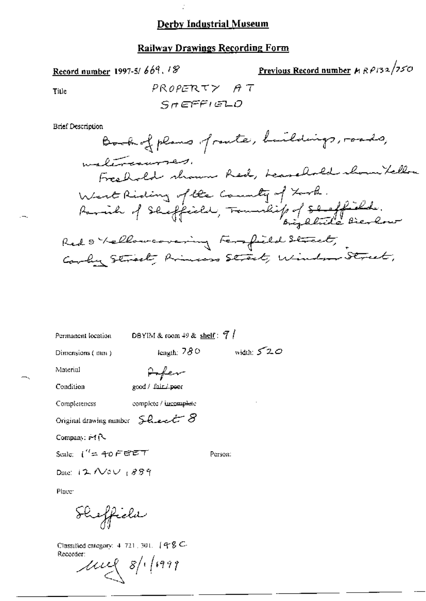### **Railway Drawings Recording Form**

Record number 1997-5/669, 18

Previous Record number 
$$
\mu R \rho / 32 / 250
$$

Title

**Brief Description** 

DBYIM & room 49 & shelf:  $7/$ Permanent location width:  $520$ length: 780 Dimensions (mm) Arfer Material

Condition

good / fair / poor

Completeness

complete / incomplete

Original drawing number  $\mathcal G$  and  $\mathcal S$ 

Company: #1R

Scale:  $\int_{0}^{T}$ = 40 FEET

Person:

Date:  $12$  Nov  $1889$ 

Place<sup>-</sup>

Sheffield

Classified category:  $4, 721, 301, 498$  C-Recorder:

 $\mu$ ug 8/1/1999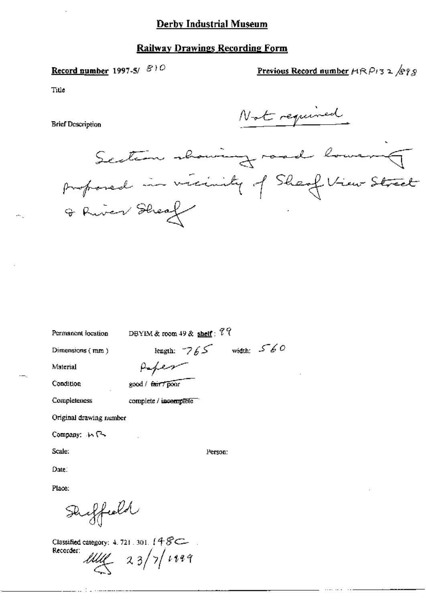# Record number 1997-5/810

Previous Record number  $H \otimes P$ 132/ $S$ 93

Title

**Brief Description** 

Not required

Section showing road lowering proposed in vicinity of Sheaf View Street

| Permanent location                           | DBYIM & room 49 & shelf: $77$ |               |              |
|----------------------------------------------|-------------------------------|---------------|--------------|
| Dimensions (mm)                              |                               | length: $765$ | width: $560$ |
| Material                                     | Peper                         |               |              |
| Condition                                    | good / fair / poor            |               |              |
| Completeness                                 | complete / incomplete         |               |              |
| Original drawing number                      |                               |               |              |
| Company. $\mathsf{M} \rightarrow \mathsf{C}$ |                               |               |              |
| Scale:                                       |                               | Person:       |              |
| Date:                                        |                               |               |              |
| Place:                                       |                               |               |              |

Duffield

\_\_.\_. : \_ . . . . *. . . . . . . .* 

Classified category: 4, 721, 301,  $148C$ Recorder:  $UM 23/7/1999$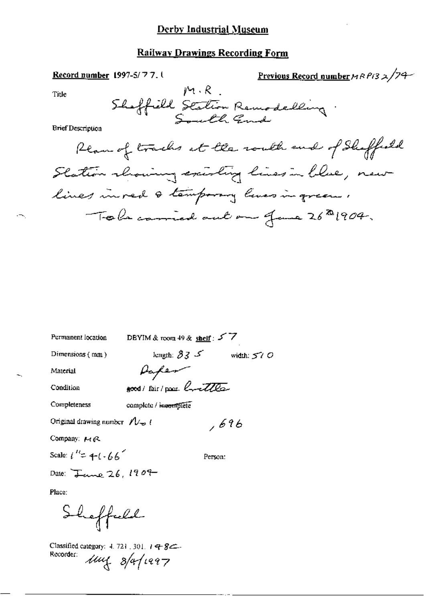Previous Record number  $MRP/3 \geq \sqrt{24}$ Record number 1997-5/77.1  $M \cdot R$ Title Shaffield Station Remodelling. **Brief Description** Ream of tracks at the routh end of Shaffeeld Slation showing existing lines in blue, new lines in red & temporary lines in green,

| Permanent location                  | DBYIM & room 49 & shelf: $\sqrt{ }$                                       |              |
|-------------------------------------|---------------------------------------------------------------------------|--------------|
| Dimensions $(mm)$                   | length: $\mathcal{\beta} \mathcal{\mathcal{Z}}$ - $\mathcal{\mathcal{S}}$ | width: $570$ |
| Material                            | Vapen                                                                     |              |
| Condition                           | good/fair/poor Crattles                                                   |              |
| Completeness                        | complete / incomplete                                                     |              |
| Original drawing number $N_{\pm}$ ( |                                                                           | , 696        |
| Company: MR                         |                                                                           |              |
| Scale: $i'' = +(-66)$               | Person:                                                                   |              |
| Date: $\frac{1}{2}$ anne 26, 1909   |                                                                           |              |
|                                     |                                                                           |              |

Place:

Sheffuld

Classified category: 4, 721, 301, 19 - 8 -Recorder: Mul 8/a/1997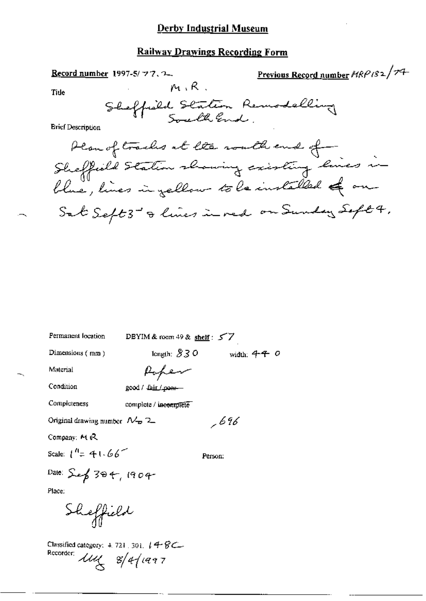### **Railway Drawings Recording Form**

 $M, R$ .

Record number 1997-5/77.2.

Previous Record number  $HRP$ 182/74

Tide

**Brief Description** 

Permanent location

DBYIM & room 49 & shelf:  $57$ 

Dimensions (mm)

width:  $44$  O length:  $830$ 

.696

Material

Poper

Condition

good / fair / poor-

Completeness

complete / incomplete

Original drawing number  $\mathcal{N}_{\mathbf{D}}$  2

Company: M R

Scale:  $1^{n} = 41.66^{n}$ 

Person:

Date: Sep 304, 1904

Place:

Sheffield

Classified category: 4, 721, 301, 14 BC. Recorder:  $\mu$   $\approx$   $4/1997$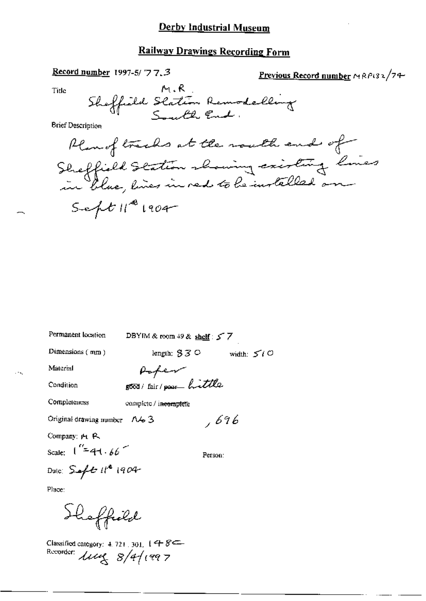## **Railway Drawings Recording Form**

#### Record number 1997-5/ $\sqrt{7}$ , 3

Previous Record number MRP132/74

Title

Sheffield Station Remodelling

**Brief Description** 

Plan of tracks at the mouth end of Sheffield Station showing existing lines  $S = \frac{1}{2} t ||^{\frac{10}{2}} |1004$ 

Permanent location

DBYIM & room 49 & shelf: 5 7

Dimensions (mm)

length;  $33^\circ$  width:  $5^\circ$ 

Material

Paper good/fair/pour hittle

Condition

Completeness

complete / incomplete

Original drawing number  $\Lambda$   $\sim$  3

Company: Pt. P.

Scale:  $1''=41.66$ 

Person:

 $,696$ 

Date:  $S$  of  $t$   $t$   $t^*$  1904

Place:

Shoffield

Classified category: 4, 721, 301,  $1 + 8$ Recorder:  $\mu$ ung  $8/4/1997$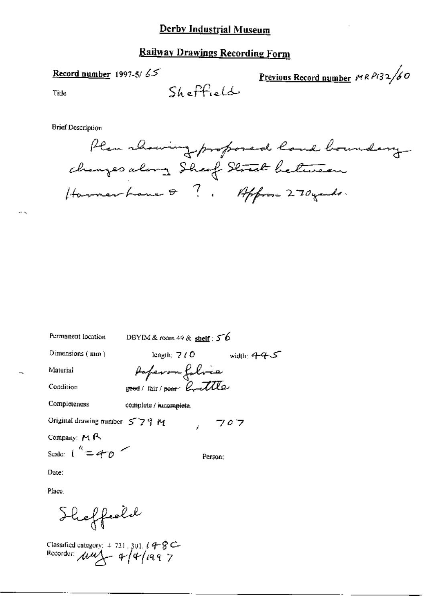### **Railway Drawings Recording Form**

#### Record number 1997-5/ $65$

Previous Record number  $\mu$ RP132/60

Title

 $SL_6F_{rel}$ 

**Brief Description** 

Plan rhowing proposed land boundary changes along Sheef Street between Hommerhaue Q?, Approx 270 years.

Permanent location

DBYIM & room 49 & shelf :  $56$ 

Dimensions (mm)

length;  $7/0$  width;  $445$ 

Material

Condition

Paperon folice good/fair/poor Contlle

Completeness

complete / nucomplete.

Original drawing number 579 M  $707$ 

Company: MR

Scale:  $1^k = 4^k0$ 

Person;

Date:

Place.

Sheffeeld

Classified category: 4 721, 301,  $14-8$ C-<br>Recorder:  $\mu u \leftarrow 4/4/199$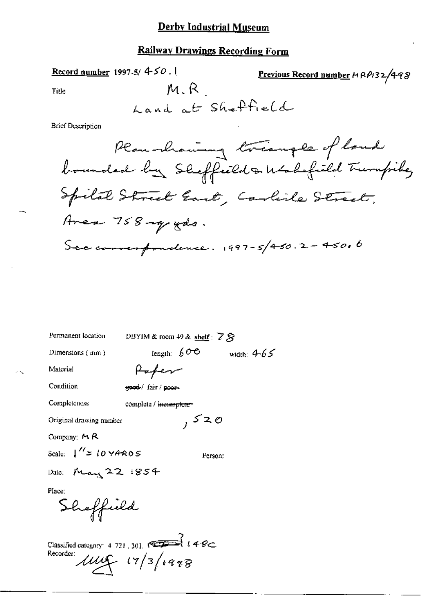Record number 1997-5/ $450.$ 

Previous Record number HRP132/498

Title

M R

**Brief Description** 

Permanent location

DBYIM & room 49 & shelf: 7 &

Dimensions (mm)

length:  $60^\circ$  width:  $4.65^\circ$ 

Material

Poper

Condition

good/ fair/poor-

Completeness

complete / invermplete-

Original drawing number

Company: M R

Scale:  $1'' = 10 \forall A ROS$ 

Person:

 $,520$ 

Date: May 22 1854

Place:

Sheffield

Classified category: 4 721, 301,  $\sqrt{27 - 3}$   $\ell$  4  $\ell$ Recorder:  $\mu\mu$   $(7/3/198)$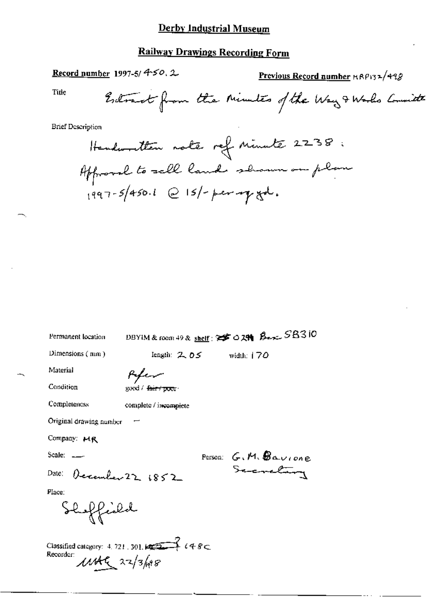# **Railway Drawings Recording Form**

Record number 1997-5/ $450.2$ 

Previous Record number HRP132/498

Title

| Permanent location                                                                                         | DBYIM & room 49 & shelf: 25 0 29 Berc SB310 |                      |
|------------------------------------------------------------------------------------------------------------|---------------------------------------------|----------------------|
| Dimensions (mm)                                                                                            | length: $2.05$                              | width: $170$         |
| Material                                                                                                   | fifen                                       |                      |
| Condition                                                                                                  | goud / <del>fair / poor</del>               |                      |
| Completeness                                                                                               | complete / incomplete                       |                      |
| Original drawing number                                                                                    |                                             |                      |
| Company: MR                                                                                                |                                             |                      |
| Scale: $\qquad \qquad \qquad$                                                                              |                                             | Person: G.M. Baurone |
| Date: December 22 1852                                                                                     |                                             | Secretary            |
| Place:                                                                                                     |                                             |                      |
| Shoffishd                                                                                                  |                                             |                      |
| Classified category: 4, 721, 301, $\sqrt{2}$ $\left\{ 48 \right\}$<br>Recorder:<br>$11446 \times 22/3$ has |                                             |                      |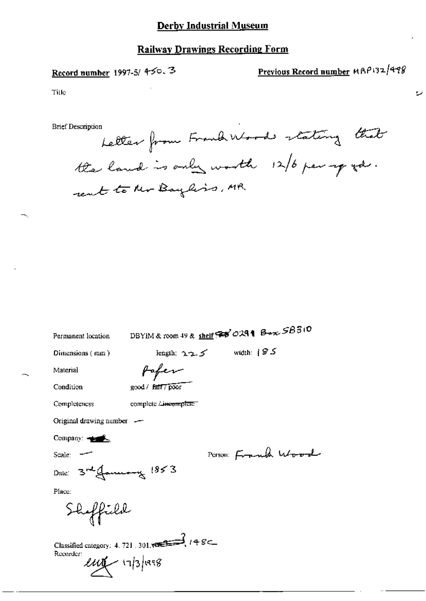## **Railway Drawings Recording Form**

## Record number 1997-5/450.3

# Previous Record number MAP132/498

ضرج

Title

**Brief Description** 

Letter from Frank Woods stating that the land is only worth 12/6 per go go. rent to the Bayliss, MR.

DBYIM & room 49 & shelf ? 30291 Box 58310

Permanent location Dimensions (mm)

length:  $225$  width:  $85$ 

Material

Pafer

Condition

good / fait7 poor

Completeness

complete Lineemplete

Original drawing number -

Company:

Scale:

Person: Frank Wood

Place:

Shoffield

Date:  $3r$ efourning  $1853$ 

Classified category: 4.721.301,  $\sqrt{3}$  / 4.8 Recorder:  $\ell\mu$ 1/3/1998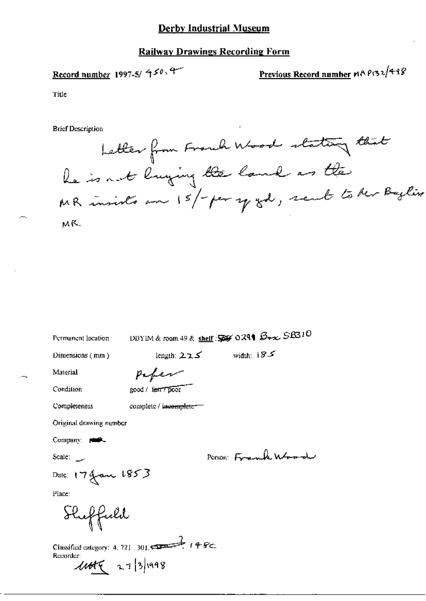### **Railway Drawings Recording Form**

Record number 1997-5/ $450.4$ 

Previous Record number 11A P132/498

Title

Letter from Franch Wood stating that Re is not lunging the land as the MR insists an 15/- per y gd, sent to der Bylin MR.

| Permanent location                                                                  | DBYIM & room 49 & shelf: \$\$ 0291 Box SB310 |                    |
|-------------------------------------------------------------------------------------|----------------------------------------------|--------------------|
| Dimensions (mm)                                                                     | length: $225$                                | width: $185$       |
| Material                                                                            |                                              |                    |
| Condition                                                                           | good / tair / poor                           |                    |
| Completeness                                                                        | complete / incomplete == "                   |                    |
| Original drawing number                                                             |                                              |                    |
| Company: poop                                                                       |                                              |                    |
| Scale __                                                                            |                                              | Person: Frank Wood |
| Date: 17 Jan 1853                                                                   |                                              |                    |
| Place:                                                                              |                                              |                    |
| Sheffeeld                                                                           |                                              |                    |
| Classified category: 4, 721, 301, $\leftarrow$ 148<br>Recorder:<br>$1445$ 27/3/1998 |                                              |                    |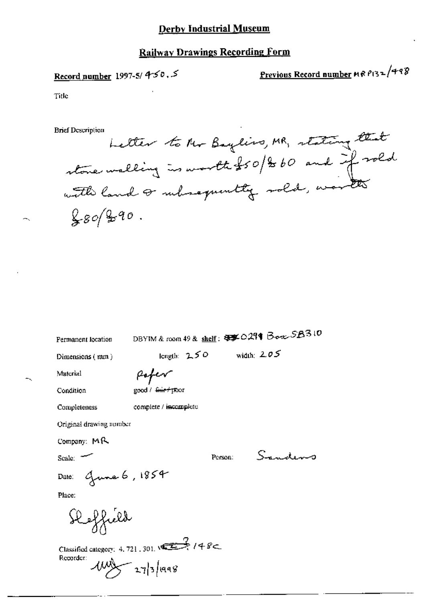### **Railway Drawings Recording Form**

# Record number 1997-5/4-50, 5

# Previous Record number MRP132/498

Title

**Brief Description** 

Letter to the Baylins, MR, stating that stone walking is worth \$50/200 and if rold  $280/20.0$ 

Permanent location

DBYIM & room 49 & shelf: \$\$ 0.291 Box 5.8310

Dimensions (mm)

length:  $250$  width:  $205$ 

Material Condition

Poper good / <del>fair/po</del>or

Completeness

complete / incomplete

Original drawing number

Company: MR

 $Scale:$ 

Person:

Sandens

Date: Guna 6, 1854

Sleffield

Classified category: 4.721.301.  $\sqrt{2}$  / 4 8 Recorder:  $\frac{1000}{2}$  27/3/1998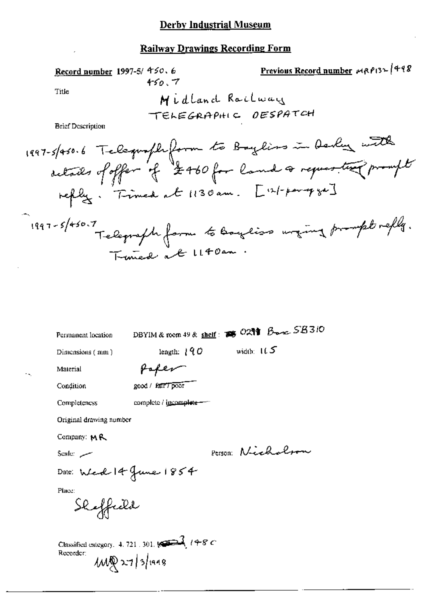# **Railway Drawings Recording Form**

**Record number** 1997-5/450.6\n

\nTitle

\nMildand Railway\n

\nFirst Description

\nBefore Description

\n1997-5/450.7\n

\nFirst Description

\n1997-5/450.6\n

\nLet 
$$
47.6
$$
 from  $45$   $6$   $6$   $7$   $2$   $450$   $6$   $7$   $2$   $450$   $6$   $8$   $7$   $2$   $450$   $6$   $8$   $7$   $2$   $450$   $6$   $8$   $8$   $9$   $10$   $10$   $10$   $10$   $10$   $10$   $10$   $10$   $10$   $10$   $10$   $10$   $10$   $10$   $10$   $10$   $10$   $10$   $10$   $10$   $10$   $10$   $10$   $10$   $10$   $10$   $10$   $10$   $10$   $10$   $10$   $10$   $10$   $10$   $10$   $10$   $10$   $10$   $10$   $10$   $10$   $10$   $10$   $10$   $10$   $10$   $10$   $10$   $10$   $10$   $10$   $10$   $10$   $10$   $10$   $10$   $10$   $10$   $$ 

| Permanent location      | DBYIM & room 49 & shelf: 88 0291 Banc SB310                                                                                                                                                                                                                                                                                                                 |
|-------------------------|-------------------------------------------------------------------------------------------------------------------------------------------------------------------------------------------------------------------------------------------------------------------------------------------------------------------------------------------------------------|
| Dimensions (mm)         | width: $165$<br>length: $190$                                                                                                                                                                                                                                                                                                                               |
| Material                |                                                                                                                                                                                                                                                                                                                                                             |
| Condition               | good / fair / poor                                                                                                                                                                                                                                                                                                                                          |
| Completeness            | complete / i <u>ncomplete</u>                                                                                                                                                                                                                                                                                                                               |
| Original drawing number |                                                                                                                                                                                                                                                                                                                                                             |
| Company: MR             |                                                                                                                                                                                                                                                                                                                                                             |
| سسيه :Scale             | Person: Nichal                                                                                                                                                                                                                                                                                                                                              |
|                         | Date: Wed 14 June 1854                                                                                                                                                                                                                                                                                                                                      |
| Place:<br>Shoffeild     |                                                                                                                                                                                                                                                                                                                                                             |
| Recorder:               | Classified category. 4. 721 . 301. $\begin{picture}(10,10) \put(0,0){\line(1,0){10}} \put(15,0){\line(1,0){10}} \put(15,0){\line(1,0){10}} \put(15,0){\line(1,0){10}} \put(15,0){\line(1,0){10}} \put(15,0){\line(1,0){10}} \put(15,0){\line(1,0){10}} \put(15,0){\line(1,0){10}} \put(15,0){\line(1,0){10}} \put(15,0){\line(1,$<br>$1000 \times 13$ /1948 |

. –

Н,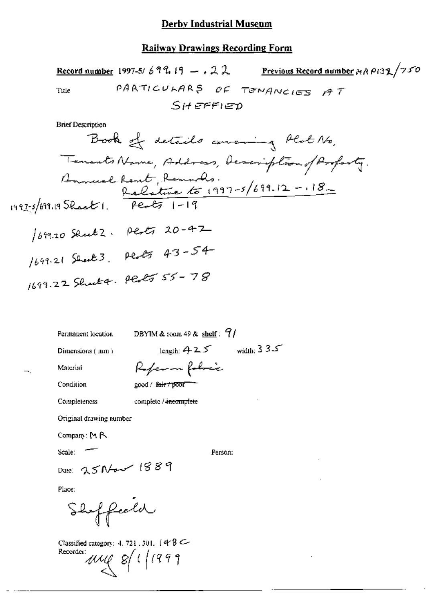| Previous Record number HR P132/750<br>Record number 1997-5/699.19 -. 22                                    |
|------------------------------------------------------------------------------------------------------------|
| PARTICULARS OF TENANCIES AT<br>Title                                                                       |
| Sheffied                                                                                                   |
| <b>Brief Description</b>                                                                                   |
| Book of details concring Plot No,                                                                          |
|                                                                                                            |
| Tenants Name, Address, Acaciption of Aroparty.<br>Annual Rent, Remards.<br>Relative to 1997-5/699.12 - 18- |
|                                                                                                            |
| 1997-5/699.19 Sheet 1. Peots 1-19                                                                          |
| 1699.20 Shut2. Plate 20-42                                                                                 |
| 1699-21 Sent 3. Perty 43-54                                                                                |
| 1699.22 Shart 9 Plates 55 - 78                                                                             |
|                                                                                                            |

Permanent location

DBYIM & room 49 & shelf:  $9/$ 

Dimensions (mm)

length:  $425$  width:  $335$ 

| Referm folice      |  |
|--------------------|--|
| good / fair / poor |  |

Condition

Completeness

Material

complete / incomplete

Original drawing number

Company: MR

Scale:

Person:

Place:

Shoffield

Date: 25Nov 1889

Classified category: 4, 721, 301,  $(4.8 \text{ C}$ Recorder:  $\mathbb{Z}/\mathbb{Z}/2$  and  $\mathbb{Z}/2$  and  $\mathbb{Z}/2$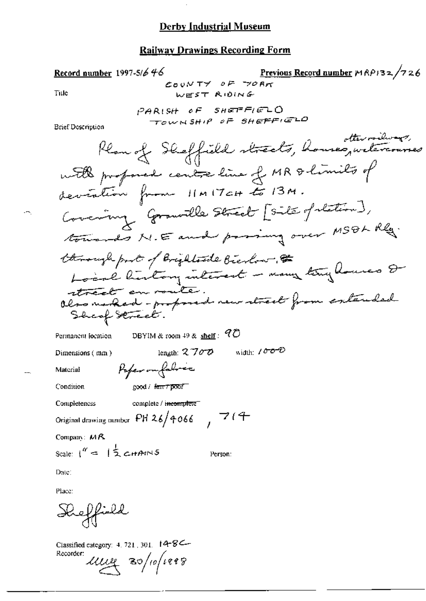$\mathbb{R}^2$ 

# **Railway Drawings Recording Form**

| <u>Record number</u> 1997-5/646                                       | Previous Record number MRP132/726            |
|-----------------------------------------------------------------------|----------------------------------------------|
| COUNTY OF TORK<br>Title<br>WEST RIDING                                |                                              |
|                                                                       |                                              |
| PARISH OF SHETFIELD<br>TOWNSHIP OF SHEFFIELD                          |                                              |
| Brief Description                                                     |                                              |
|                                                                       | Plan of Sheffield streets, houseguiteverines |
| with profond contre line of MR & limits of                            |                                              |
| deviation from 11MITCH to 13M.                                        |                                              |
| Covering Grantle Street [Site of station],                            |                                              |
| towards N.E and proving over MSOL Rlg.                                |                                              |
|                                                                       |                                              |
| through part of Brightoute Bierbow, at                                |                                              |
| street en voute.<br>Olso naped-proposed neur street from entended     |                                              |
| Sheaf Street.                                                         |                                              |
| DBYIM & room 49 & shelf : $Q\ddot{\mathcal{O}}$<br>Permanent location |                                              |
| length: $2700$<br>Dimensions $(mn)$                                   | width: 1000                                  |
| Paper omfabrer<br>Material                                            |                                              |
| Condition<br>good / Harry poor                                        |                                              |
| Completeness<br>complete / incomplete                                 |                                              |
| Original drawing number PH 26/4066 $\rightarrow$ 7 (4                 |                                              |
| Company: MR                                                           |                                              |
| Scale: $1'' = 12$ cHANS<br>Person:                                    |                                              |
| Date:                                                                 |                                              |
| Place:                                                                |                                              |
| Keffield                                                              |                                              |

Classified category: 4.721, 301. 14-8 $\left| \frac{\text{Recorder}}{\text{Recorder}} \right|$ 

 $\overline{\phantom{a}}$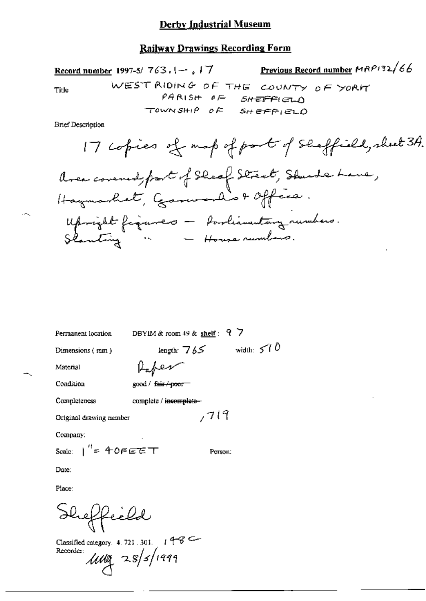Previous Record number HRP132/66 Record number 1997-5/763.1-, 17 WEST RIDING OF THE COUNTY OF YORK **Title**  $PARSH$   $P =$   $SHEFHEAD$ TOWNSHIP OF SHEFFIELD **Brief Description** 

17 copies of map of port of Selectfield, sheet 34.  
Area covered, fact of Select, Studies line, 1  
Haright figures — Procliamatary numbers.  
Shmiting 
$$
—
$$
 Horre numbers.

| Permanent location       | DBYIM & room $49$ & shelf: 9 7 |
|--------------------------|--------------------------------|
| Dimensions (mm)          | width: $5/0$<br>length: $765$  |
| Material                 | Kaper                          |
| Condition                | good / fair / poor             |
| Completeness             | complete / incomplete-         |
| Original drawing number  | ,719                           |
| Company:                 |                                |
| Scale: $1'' = 40F E E T$ | Person:                        |
| Date:                    |                                |
| Place:                   |                                |
| Heffeeld                 |                                |

Classified category. 4.721.301. 1986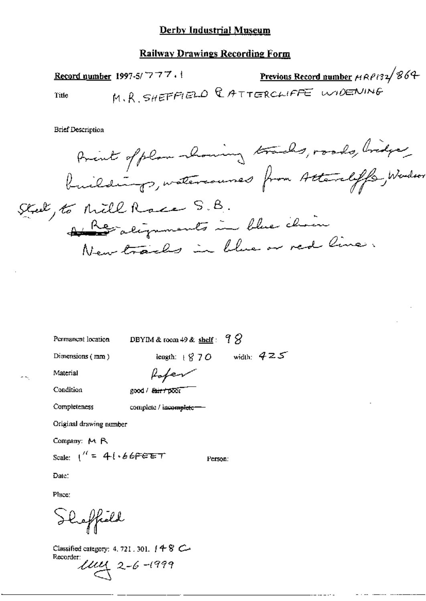#### **Railway Drawings Recording Form**

Previous Record number HRP132/864 Record number 1997-5/777. M.R. SHEFFIELD CATTERCLIFFE WIDENING Title

**Brief Description** 

Amint of plan showing trades, roads, bridge, Stal, to Mill Race S.B. A Regalignments in blue chain New tracks in blue or red line.

Permanent location

DBYIM & room 49 & shelf:  $7\%$ 

Person:

Dimensions (mm)

length:  $870$  width:  $425$ 

Material Condition

Poper good / fair / poor

complete / incomplete-

Completeness

Original drawing number

Company: M R

Scale:  $1'' = 41.667627$ 

Date:

Place:

Sheffield

Classified category: 4, 721, 301,  $148$  C-Recorder:

 $1144$  2-6-1999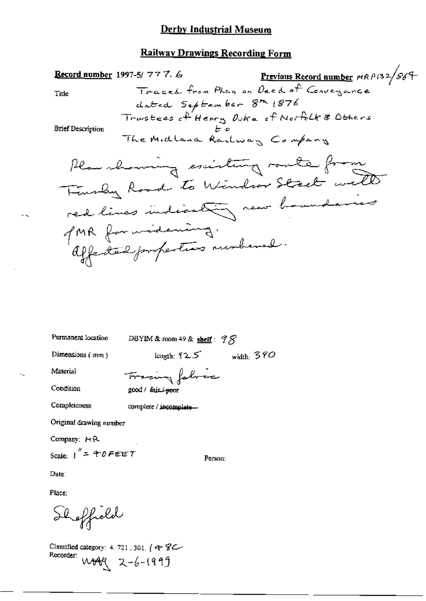

Permanent location

DBYIM & room 49 & shelf:  $\mathcal{P}\mathcal{S}$ 

Dimensions (mm)

length:  $125$  width: 390

Material Condition

Tracing fabric good / Sainl-poor

Completeness

complete / incomplete-

Original drawing number

Company: MR

Scale:  $1'' = 40$  FEET

Person:

Date:

Place:

Shoffield

Classified category: 4. 721, 301,  $(48)$ Recorder:  $W8\left(2-6-1999\right)$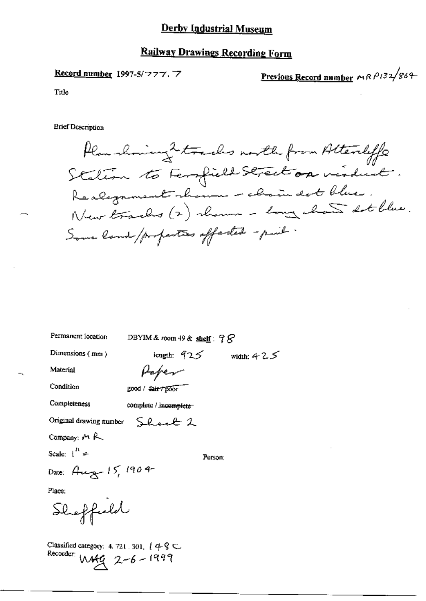### **Railway Drawings Recording Form**

Record number 1997-5/777.7

Previous Record number MRP132/864

Title

**Brief Description** 

Plan choicing 2 tracks north from Attentiffs Station to Ferrill Street on virded. Realgament shown - chain dot blue. New tracks (2) shown - long chan stblue. Some land / properties offerted - paint.

Permanent location

DBYIM & room 49 & shelf:  $98$ 

Dimensions (mm)

length:  $925$  width:  $425$ 

Material

Condition

good / fair / poor

Paper

Sheat 2

Completeness complete / incomplete

Original drawing number

Company:  $M$   $R$ 

Scale:  $\int_0^R z^2$ 

Person:

Date: Aug 15, 1904

Place:

Shaffeeld

Classified category: 4, 721, 301,  $4 \cdot 8 \subset$ Recorder:  $M49$  2-6-1999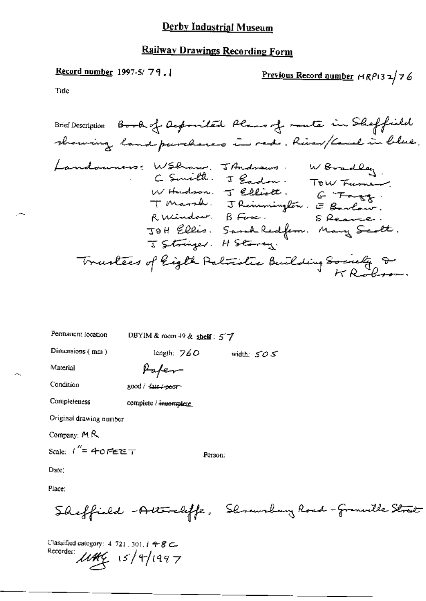# **Railway Drawings Recording Form**

## Record number 1997-5/79.

Previous Record number  $MRP$ 132/76

Title

| Permanent focation |  |
|--------------------|--|

DBYIM & room  $+9$  & shelf:  $57$ 

Dimensions  $(mn)$ 

length:  $760$  width:  $505$ 

Material

Condition

Completeness

Paper good / fair / poor

complete / incomplete

Original drawing number

Company: MR

Scale:  $1'' = 40$  FEET

Person:

Date:

Place:

Sheffield - Attendiffe, Showshay Road-Granville Street

Classified category: 4, 721, 301, 1 4 8 C. Recorder:  $\mu$ the 15/4/1997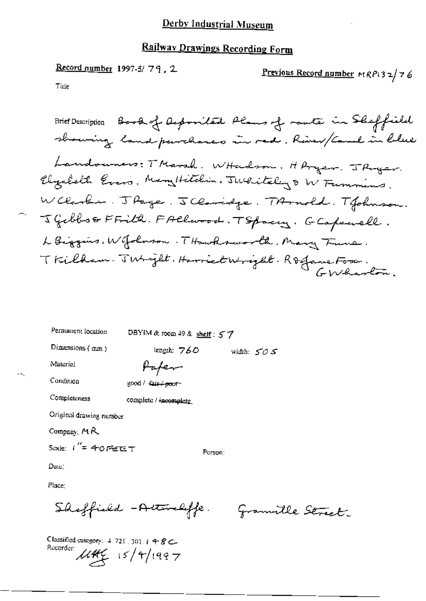# Railway Drawings Recording Form

Record number 1997-5/ $79, 2$ Previous Record number MRP132/76 Title

Brief Description Book of Auponiled Plans of route in Sheffield showing land purchases in red. River/Cauch in blue Landouners: TMarsh. WHudson. HArger. JArger. Elizabeth Evers, Mary Hitchin, Julitely & W Funnins. W Clarkie. J Page. J Claridge. TArnold. T Johnson. J Gibboo FFilk. FAllwood. TSpacing. GCafewell. L Biggins, W Johnson. T Howksworth. Mary Fune. Tkilham Jusight. Harriet Wright. Rofane Fora.

| Permanent focation       | DBYIM & room 49 & shelf: $57$ |               |
|--------------------------|-------------------------------|---------------|
| Dimensions (mm)          | length: 760                   | width: $505$  |
| Material                 |                               |               |
| Condition                | good / <del>fair/poor</del>   |               |
| Completeness             | complete / incomplete         |               |
| Original drawing number  |                               |               |
| Company; $M$ $R$ ,       |                               |               |
| Scale: $i'' = 40$ Febert | Person:                       |               |
| Date:                    |                               |               |
| Place:                   |                               |               |
|                          | Shoffield -Attendiffe.        | muille Street |

Classified category:  $4\,721\,301.$  (  $48\text{C}$ Recorder:  $1446 = 15/4/1997$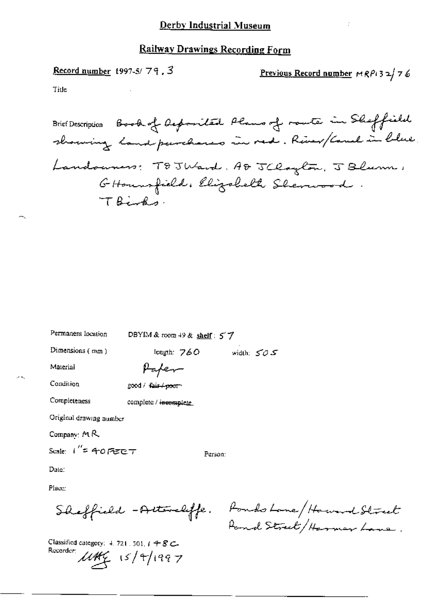Record number 1997-5/79.3

<u>Previous Record number</u>  $MRP$  32/76

Title

Brief Description Book of Acposited Plans of route in Sheffield showing land parchares in red. River/Cauch in blue Landouners: TOJWard, AD JClayton, J Blum, GHoungfield, Elizabeth Sherwood TBirks.

Permanent location

DBYIM & room 49 & shelf: 57

Dimensions (mm)

width:  $505$ length: 760

Material

Paper

Condition

Completeness

good / fair <del>/ poor</del>

complete / incomplete

Original drawing number

Company:  $M$   $R$ 

Scale:  $1'' = 40$  Fere  $T$ 

Person:

Date:

Place:

Classified category: 4, 721, 501,  $1 + 8$  C. Recorder:  $\mu$ thc<sub>c</sub> 15/4/1997

Sheffield - Attendiffe. Pondo Lone/Howard Street Pond Street/Harmer Lane,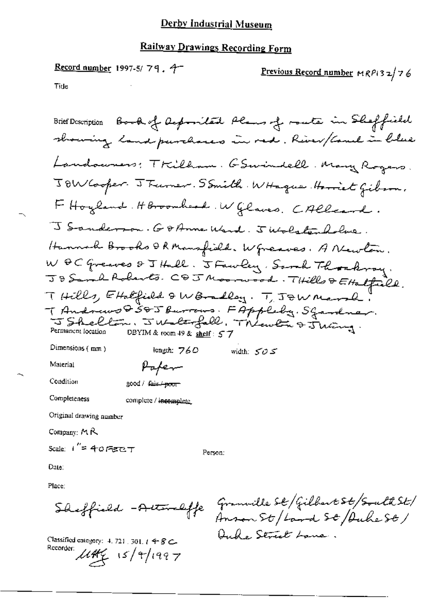### Railway Drawings Recording Form

Record number 1997-5/79.4-Previous Record number  $MRP(3,2)$  7 6 Title

Brief Description Book of Acopomited Plans of moute in Sheffield showing land purchases in red. River/Camel in blue Landowners: Tkilham. GSwindell. Many Rogers. JOW Cooper. J Furner. SSmith. WHague. Horriet Gibson. F Hoyland. HBroomhead. W Glaves. CAllcard. J Sanderson. Go Anne Ward. J Wolstenholme. Hannah Brooks & R Mansfield. W greaves. A Newlow. W OC Greaves & J Hall. J Fawley, Samh Thomkroy.<br>J & Samh Roberts. C & J Moorwood. THills & Ettalfield. THills, Ethefield & WBoalley. T, JEW Marsh. T Andrews 8505 Burrows. FAppleby. Sgardnar. Permanent focation DBYIM & room 49 & shelf: 57 Dimensions (mm) length:  $760$ width:  $505$ 

Paper

Condition

Material

good / fair / poor

Completeness

complete / incomplete

Original drawing number

Company:  $M \mathcal{R}$ 

Scale:  $1'' = 40$  Get  $T$ 

Person:

Date:

Place:

Sheffield - Actordaffe

Classified entegory: 4, 721, 301,  $t \, 4 \, 8 \,$ C-Recorder:  $\mu$ the 15/4/1997

Granville St/Gilbert St/South St/ Anson St / Land St / Duche St / Ouke Street Lane.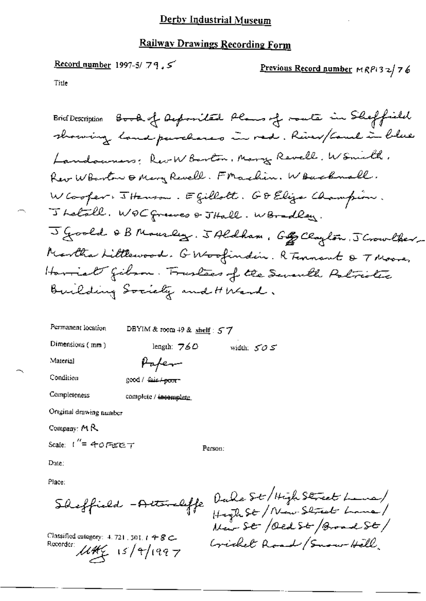## Railway Drawings Recording Form

Record number 1997-5/79,5 Previous Record number MRPI32/76 Title

Brief Description Book of Apposited Plans of route in Sheffield showing land purchases in red. River/Coul in blue Landowners: Rev W Barton, Mary Revell, W Smith, Rev Wolarton & Mary Revell. Frachin. Wouchnall. WCooper: 5 Hanson. Egillott. GD Elija Champion. J Letall. WOC greeves & JHall. WBradley. J Goold & B Mourley. J Aldham, Gog Clayton, J Crowlker-Martha Littlewood. GWoofindin. R Tennant & T Moore, Havriat gibson. Trustees of the Seventh Politictic Building Society and HWend.

Permanent location DBYIM & room 49 & shelf :  $57$ Dimensions  $(mm)$ length:  $760$ width:  $505$ Material Paper Condition good / fair / poor-Completeness complete / incomplete Original drawing number Company:  $M$   $R$ Scale:  $1'' = 40$  FEC  $T$ Person:

Date:

Place:

Sheffield - Activelyfe

Classified category:  $4.721$ , 301,  $1 + 8$  C-Recorder:  $\mu$ th $\frac{1}{2}$  15/9/1997

Duke St / High Street Lane/ High St / New Shoret Lane/<br>New St / Oed St / Broad St / Cricket Road / Snow Hell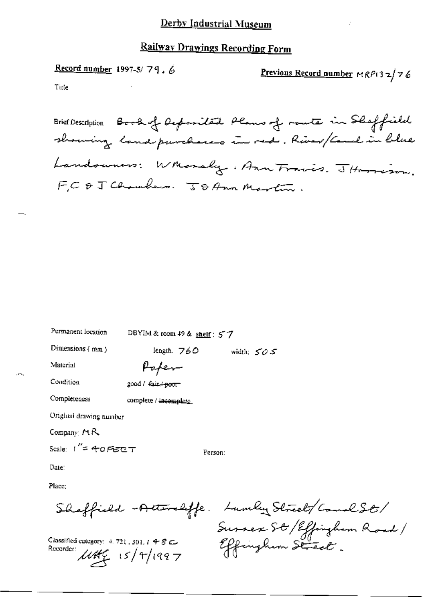Record number 1997-5/79.6

Previous Record number MRP132/76

Title

Brief Description Book of Oxponited Plans of route in Sheffield showing land purchases in red. River/Camel in blue Landowners: Whorsly. Ann Frais. JHorrison. FC & J Chambers. JD Ann Martin.

Permanent location

DBYIM & room 49 & shelf : 57

Dimensions (mm)

length. 760 width:  $505$ 

Material

Paper

Condition

good / المنتجية / good

Completeness complete / incomplete

Original drawing number

Company:  $M R$ 

Scale:  $1'' = 40$  Fere  $T$ 

Person:

Date:

Place:

Classified category:  $4.721$ , 301,  $1.48$  C Recorder:  $\mu$ the  $\frac{1}{2}$  15/4/1997

Sheffield -Attendiffe. Lumber Street/ComelSt. Survex St / Effinghum Road/ Effinghem Street.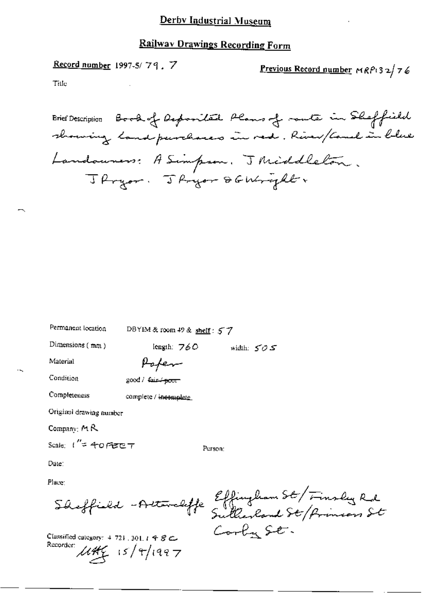### **Railway Drawings Recording Form**

### Record number 1997-5/79,7

Previous Record number MRP132/76

Title

Brief Description Book of Deponited Plans of rante in Sheffield showing landpurchases in red. River/Camel in blue Landouners: A Simpson. J Middleton. J Pryor. J Pryor DG Wright

Permanent location DBYIM & room 49 & shelf: 57

length: 760

Dimensions (mm)

Popen

Condition

Material

good / fair + poor

Completeness

complete / incomplete

Original drawing number

Company:  $M$   $R$ 

Scale:  $t'' = 40$  Get  $\tau$ 

Person:

width:  $505$ 

Date:

Place:

Classified category:  $4.721$ , 301,  $t \triangleq$   $\mathcal{B} \subset$ Recorder  $\mu$ the  $15/4/1997$ 

Shoffield - Attendiffe Effingham St / Finsley Rd Cooky St.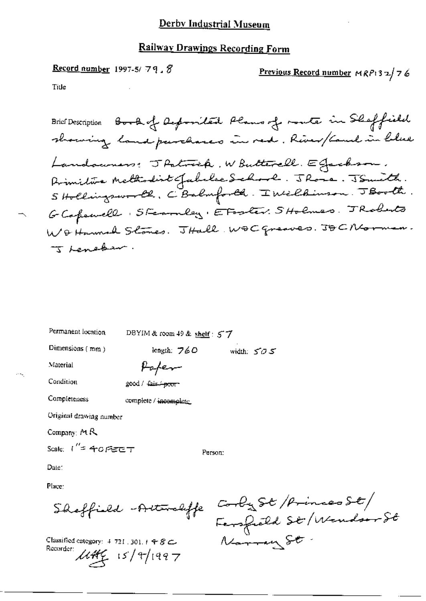### **Railway Drawings Recording Form**

Record number 1997-5/79.8 Previous Record number  $MRP$  3  $2/76$ Title

Brief Description Book of Reposited Plans of route in Shaffield showing land parchares in red. River/Camb in blue Landouners: Thatrick, WButterell. EGachson. Primitive Methodist Jabelse School. JRosa. JSmith.<br>5 Hollingsworth, C Balmforth. I Wilkinson. JBooth. GCopewell Steamley, EFoster. SHolmes. TRoberts WO Harmal Stones. THall WOC greaves. JOCNCorner. J Lenebar.

Permanent location

DBYIM & room 49 & shelf: 57

Dimensions (mm)

length: 760 width:  $505$ 

Material

Condition

200d / Life poor

Completeness

complete / incomplete

Paper

Original drawing number

Company:  $MR$ 

Scale:  $1'' = 40$  FEET

Person:

Date:

Place:

Shaffield - Automaliffe

Classified category:  $4.721$ , 301,  $1.98$  C. Recorder:  $\mu$ the  $\frac{1}{5}$  15/9/1997

Corby St / Princes St/<br>Ferspield St / Wondorr St Narray St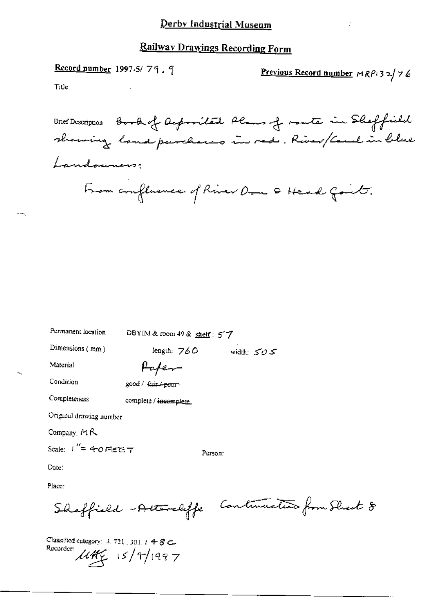# **Railway Drawings Recording Form**

Record number 1997-5/79.9 Previous Record number MRP132/76 Tiue Brief Description Book of Acopomitate Plans of monte in Sheffield showing land parchares in red. River/Cauch in blue Landouners From confluence of River Don & Head Goit.

Permanent location

DBYIM & room 49 & shelf:  $57$ 

Dimensions (mm)

length:  $760$ width:  $505$ 

Material

Popen

Condition

Completeness

good / fair + poor

complete / incomplete.

Original drawing number

Company: MR

Scale:  $I'' = 40$  Fierre  $T$ 

Person:

Date:

Place:

Classified category: 4, 721, 301,  $t$  4  $\mathcal{S}$   $\subset$ Recorder  $\mu$ the 15/4/1997

Shaffield - Attendaffe Continuation from Shart 8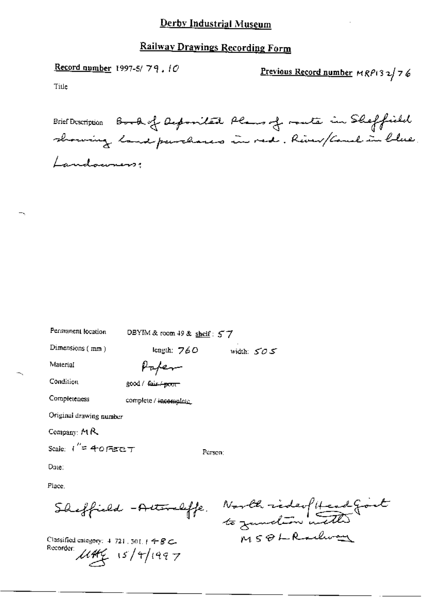# Railway Drawings Recording Form

Record number 1997-5/79.10

Previous Record number MRP132/76

Title

|             | Brief Description Book of Reposited Plans of moute in Sheffield |
|-------------|-----------------------------------------------------------------|
|             | showing land purchases in red. River/Coul in blue.              |
| Landowners; |                                                                 |

Permanent location

DBYIM & room 49 & shelf: 57

Dimensions (mm)

length:  $760$  width:  $505$ 

Material

Paper

Condition

good / fair / poor

Completeness

complete / incomplete

Original drawing number

Company: MR

Scale:  $1'' = 40755CT$ 

Person:

Date:

Place.

Classified category:  $4, 721, 301, 14 - 8$  C. Recorder  $\mu$ Hf<sub>(15</sub>/4/1997)

Sheffield -Attenleffe, North rideofitend Goot MSOLRachoan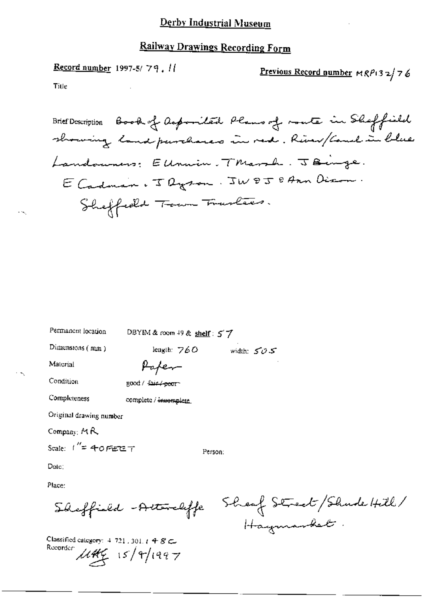# **Railway Drawings Recording Form**

Record number 1997-5/79.  $11$ 

Previous Record number  $MRP$ 132/76

Title

Brief Description Book of Asposited Plans of mote in Sheffield showing land purchases in red. River/Cauch in blue Landowners: EUnion. Thanh. JBinge. E Cadman, Jayson. JW8J8Ann Diron. Sheffeeld Town Trantees.

width:  $505$ 

Permanent location

DBYIM & room  $49$  & shelf:  $57$ 

length:  $760$ 

Dimensions (mm)

Paper

Condition

Material

good / £air / <del>poor</del>

Completeness

complete / innomplete

Original drawing number

Company: MR

Scale:  $1'' = 40$  Fete  $\tau$ 

Person:

Date:

Place:

Sheffield - Attendiffe

Classified category:  $4$  721, 301,  $t$  4  $\mathcal{S}$   $\subset$ Recorder  $15/9/1997$ 

Sheaf Street/Shude Hill/ Haymarket.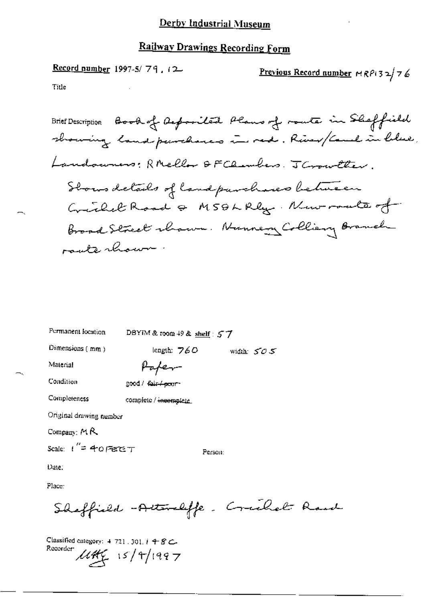# Railway Drawings Recording Form

Record number 1997-5/79, 12 Previous Record number  $MRP(32/76)$ Title

Permanent location DBYIM & room  $+9$  & shelf :  $57$ 

Dimensions (mm)

length:  $760$  width:  $505$ 

Material

Condition

good / fair / poor

Paper

Completeness

complete / incomplete

Original drawing number

Company: MR

Scale:  $t'' = 40$  PECE T

Person:

Date:

Place:

Sheffield -Attraliffe. Crachet Road

Classified category:  $4.721$ , 301,  $i.498$  C. Recorder  $\mu$ the 15/4/1997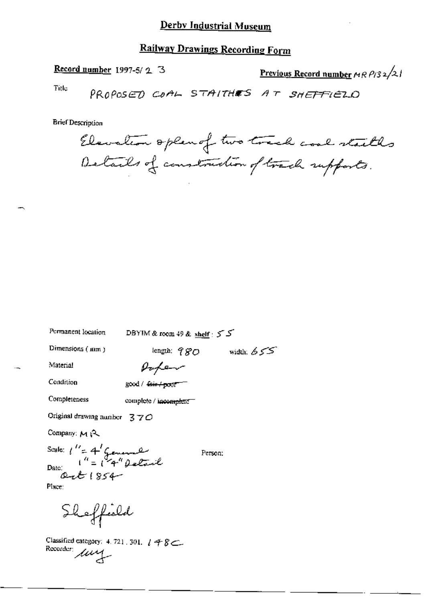# **Railway Drawings Recording Form**

Record number 1997-5/2 3

Previous Record number  $\mu$  R  $\rho$ /3 2/2 1

Title

PROPOSED COAL STAITHES AT SHEFFIELD

**Brief Description** 

Elevation open of two track and stacks Details of construction of track supports.

DBYIM & room 49 & shelf:  $55$ 

Dimensions (mm)

Permanent location

length;  $980$  width;  $655$ 

Material

Poper

Condition

Completeness

good / fair / poor

complete / incomplete

Original drawing number  $370$ 

Company: MR

Scale:  $\int_{0}^{U_{\pm}} 4 \int_{0}^{L}$  formal  $Q$ - $R$ 1854

Person:

Place:

Shoffield

Classified category: 4.721, 301,  $148$ Recorder: uy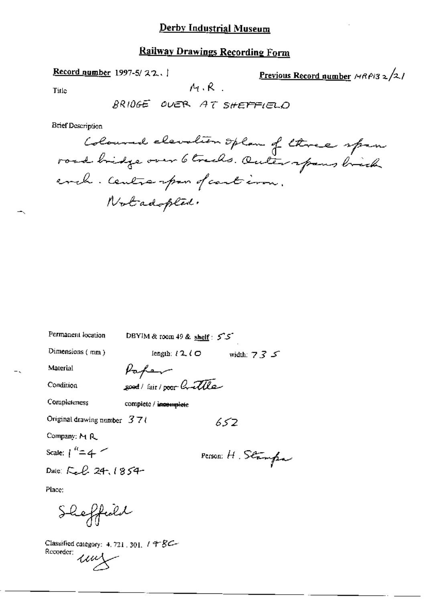# **Railway Drawings Recording Form**

Record number 1997-5/22.

Previous Record number  $\frac{\text{Area}}{2}$ 

Title

 $M \cdot R$ .

**Brief Description** 

DBYIM & room 49 & shelf:  $5^{\circ}5^{\circ}$ Dimensions  $(mn)$ length:  $l$  2,  $l$   $\bigcirc$ width:  $735$ Paper Material good/ fair/poor Crattle Condition Completeness complete / incomplete Original drawing number  $37t$  $652$ 

Company: M R

Scale:  $1^{n} = 4$ 

Permanent location

Dale: Feb 24, 1854

Person: H. Stampa

Place:

Sheffield

Classified category: 4, 721, 301, 198C-Recorder: ung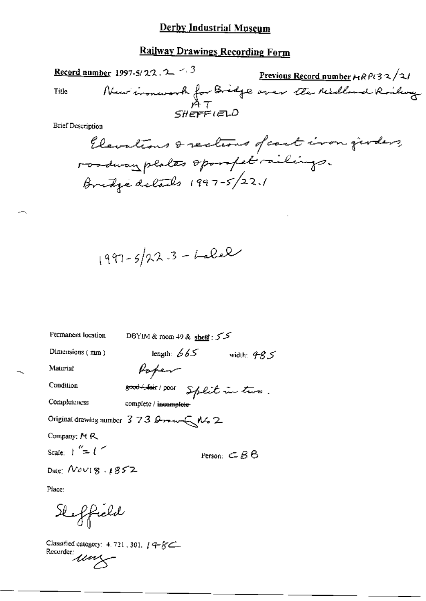# **Railway Drawings Recording Form**

Record number 1997-5/22. 2  $\sim$  3

Title

Frevious Record number 4 RP132/21<br>New insurant for Bridge over the Midland Rockery

**Brief Description** 

$$
1997 - 5/22.3 - Lalel
$$

| Permanent location                   | DBYIM & room 49 & shelf : 5 2          |                                    |
|--------------------------------------|----------------------------------------|------------------------------------|
| Dimensions (mm)                      | length: $665$                          | width: $485$                       |
| Material                             | Poper                                  |                                    |
| Condition                            | sont fair poor Split in two.           |                                    |
| Completeness                         | complete / incomplete-                 |                                    |
|                                      | Original drawing number 373 Brown As 2 |                                    |
| Company: MR                          |                                        |                                    |
| Scale: $\frac{1}{2}$ = $\frac{1}{2}$ |                                        | Person: $\subset$ $\beta$ $\Theta$ |
| Dale: $Now 8.1852$                   |                                        |                                    |

Place:

Sheffield

Classified category: 4.721, 301, 14-8C-Classing  $\mu$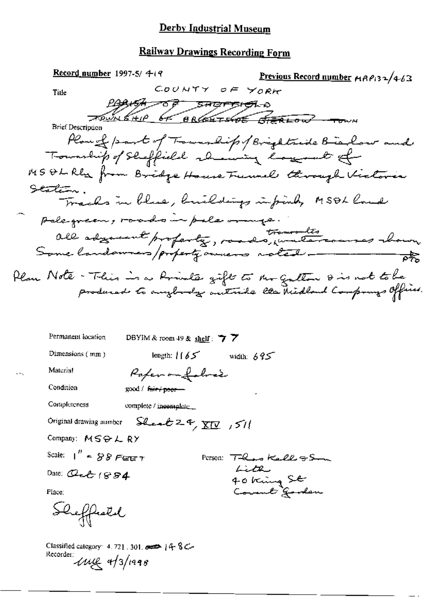# **Railway Drawings Recording Form**

| Record number 1997-5/ $419$                                                                                                 | Previous Record number MAP132/4-63               |
|-----------------------------------------------------------------------------------------------------------------------------|--------------------------------------------------|
| COUNTY OF YORK<br>Title                                                                                                     |                                                  |
| a-tenerations to entitled                                                                                                   |                                                  |
| TOWNSHIP OF BROCHTSHOE STERLOW TOWN<br><b>Brief Description</b>                                                             |                                                  |
|                                                                                                                             | Plan of part of Township / Brightside Bielow and |
| Township of Sheffield almosting lagerat of                                                                                  |                                                  |
| MS Oh Rla from Bridge House Funnel through Victoria                                                                         |                                                  |
| Statetu.                                                                                                                    |                                                  |
| Tracks in blue, buildings infinity MSOL land                                                                                |                                                  |
| palegreen, roads in pale mange.                                                                                             |                                                  |
|                                                                                                                             |                                                  |
| all adgement proferty, roads, undercourses chown                                                                            |                                                  |
|                                                                                                                             |                                                  |
| Plan Note - This is a Arivalie gift to Ar Galton 8 is not to be<br>produced to anybody autuile lla Midbaul Componys Office. |                                                  |
|                                                                                                                             |                                                  |
|                                                                                                                             |                                                  |
| Permanent location<br>DBYIM & room 49 & shelf: $\overline{7}$ $\overline{7}$                                                |                                                  |
| Dimensions (mm)<br>length: $165$                                                                                            | width: $695$                                     |
| Material<br>Paper on folice                                                                                                 |                                                  |
| Condition<br>good / fair + poor-                                                                                            |                                                  |
| Completeness<br>complete / incomplete                                                                                       |                                                  |
|                                                                                                                             |                                                  |
| Original drawing number $\frac{C}{2}$ $\frac{C}{2}$ $\frac{C}{2}$ $\frac{C}{2}$ $\frac{C}{2}$ $\frac{C}{2}$                 |                                                  |
| Company: MSOLRY                                                                                                             |                                                  |
| Scale: $1''$ = $88$ Ferry                                                                                                   | Person: There Kells & Som                        |
| Date: Qeb $1884$                                                                                                            | Little<br>40 king St<br>Commet Gendem            |
| Place:                                                                                                                      |                                                  |

Sheffestel

Classified category: 4.721.301.  $\overline{\bullet}$  | 4.8 C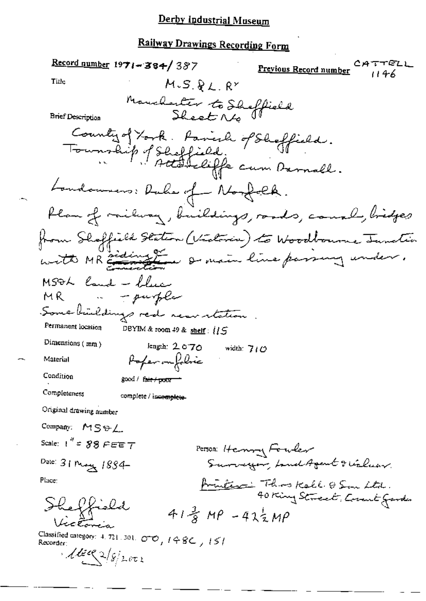Record number 1971-384/387 rez Previous Record number 1146 Title  $M.S.RL.RY$ Manchester to Sheffield<br>Sheet No **Brief Description** County of York. Parish of Shoffield.<br>Township of Shoffield.<br>Township of Shoffield for cum Darnall. Landonness: Rube of Norfolk. flam of milway, buildings, roads, causal, bridges from Shoffield Station (Victoria) to Woodbourne Junction witte MR and ing the south of main line parsing under. MSOL land - blue - purple M R III Some buildings red near retation Permanent location DBYIM & room 49 & shelf: 115 Dimensions (mm) length: 2070 width:  $710$ Poper on folice Material Condition good / fair / poor == Completeness complete / incomplete-Original drawing number Company: MSSL Scale:  $1'' = 88$   $F \in F$ Person: Henry Fouler Surveyor, Land Agent & Village Date: 31 Magy 1884frinces: This Kell OS in Ltd. Place: Sheffield  $41\frac{2}{3}$  MP  $-42\frac{1}{3}$ MP retoria Classified category: 4, 721, 301,  $\sigma \phi$ ,  $198C$ ,  $151$  $1602/8/2002$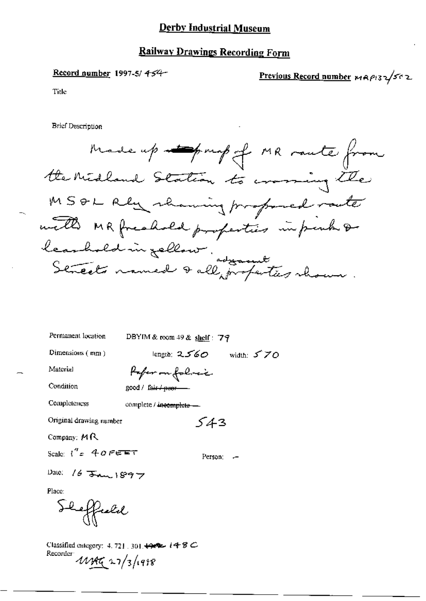### **Railway Drawings Recording Form**

Record number 1997-5/454-

Previous Record number MAP132/502

Title

**Brief Description** 

Made up topmp of MR raute from the Midland Station to crossing the MSOL Rey rhaning professed racte with MR freahold properties in perhaps leashold in Jellow.<br>Streets named & all profectes shown

| Permanent location      | DBYIM & room 49 & shelf: 79            |
|-------------------------|----------------------------------------|
| Dimensions (mm)         | length: 2560 $\,$<br>width: $570$      |
| Material                | Pofer on folier                        |
| Condition               | good / fa <del>ir / puor -----</del> - |
| Completeness            | complete / incomplete —                |
| Original drawing number | 543                                    |
| Company: $M R$          |                                        |
| Scale: $i'' = 40$ FEFT  | Ferson: -                              |
|                         |                                        |

Place:

heffreld

Date: 16  $\frac{16}{3}$  and 1897

Classified category: 4, 721, 301,  $\leftrightarrow$   $\leftrightarrow$  8  $\circ$ Recorder 11197 27/3/1998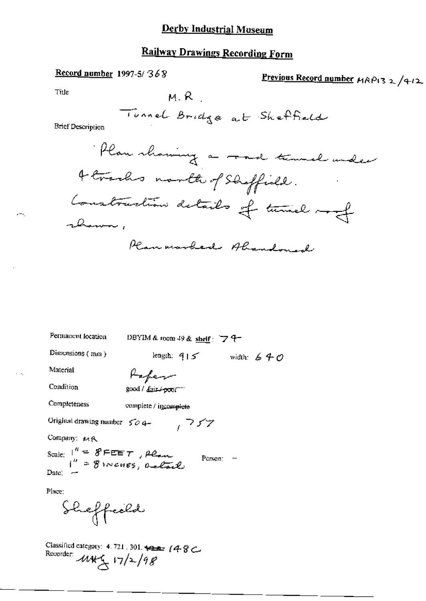# **Railway Drawings Recording Form**

### Record number 1997-5/368

Previous Record number MRP132/412

Title

$$
\mathsf{M.R.}
$$

**Brief Desemption** 



Permanent location

DBYIM & room 49 & shelf:  $74-$ 

 $757$ 

length:  $915$  width:  $640$ 

Dimensions (mm)

Condition

Material

200d / dair / poor-

Completeness

complete / incomplete

Original drawing number  $504-$ 

Company: MR

Scale:  $1'' = 8FEET$ , Plan<br> $1'' = 8$  INCHES, Delail Person:  $-$ Date:

Place:

Classified category: 4.721, 301. +2. 4. 8 Recorder  $11/2/98$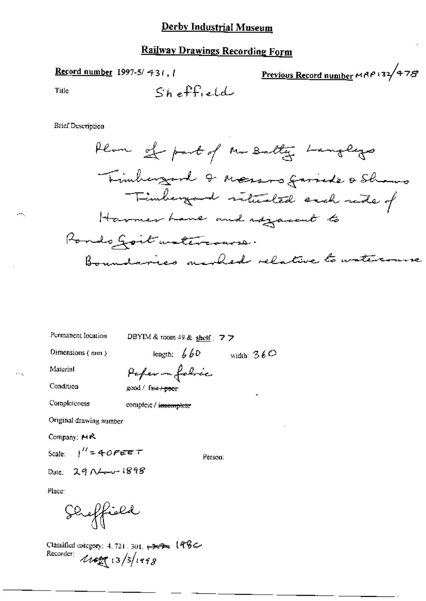Record number 1997-5/431.1

Title

**Brief Description** 

Permanent location

DBYIM & toom 49 & shelf : 7  $\triangleright$ 

Dimensions (mm)

length:  $660$  width:  $360$ 

Material Condition

 $\ddotsc$ 

Poper me folice good / faie / poor

complete / incomplete

Original drawing number

Company: MR

Completeness

Scale:  $1'' = 40$ FEET

Person:

Date: 29 Nov 1898

Place:

Sheffish

Classified category: 4, 721, 301, +2-2- [484 Recorder:  $4142 (13/3)1998$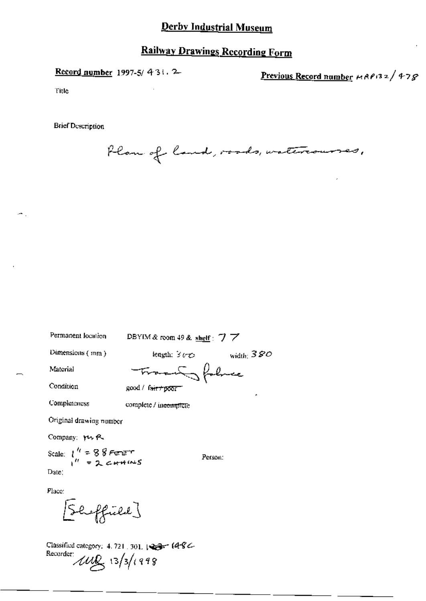# **Railway Drawings Recording Form**

Record number 1997-5/ 431.2

Previous Record number MAP132/478

Title

**Brief Description** 

Plan of land, roads, watercourses,

Permanent location

DBYIM & room 49 & shelf: 77

Dimensions (mm)

length:  $360$  width:  $380$ 

Material

Condition

Transfelace

good / fair+poor

Completeness

complete / incomplete

Original drawing number

Company: YV R.

Scale:  $\int_{1}^{R}$  = 88 FEET Date:

Person:

Place:

Shoffield }

Classified category: 4, 721, 301, 123- 14-82-Recorder  $\mu$  13/3/1998